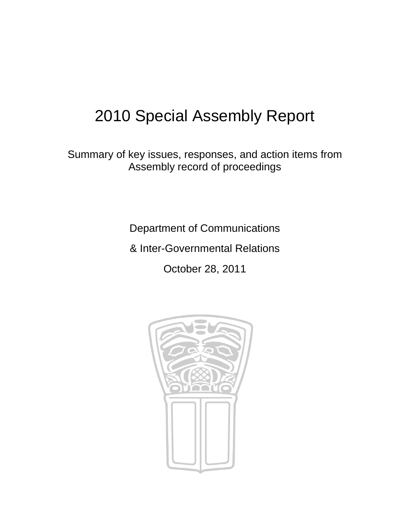# 2010 Special Assembly Report

Summary of key issues, responses, and action items from Assembly record of proceedings

Department of Communications

& Inter-Governmental Relations

October 28, 2011

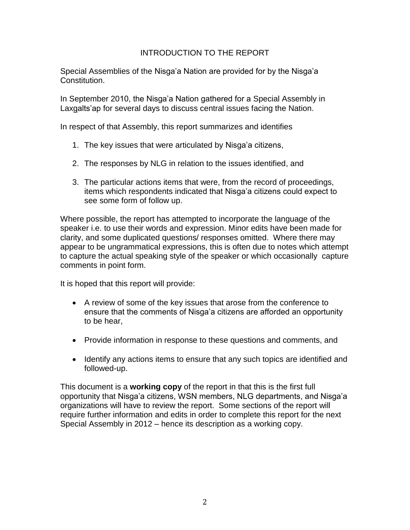# INTRODUCTION TO THE REPORT

Special Assemblies of the Nisga'a Nation are provided for by the Nisga'a Constitution.

In September 2010, the Nisga"a Nation gathered for a Special Assembly in Laxgalts'ap for several days to discuss central issues facing the Nation.

In respect of that Assembly, this report summarizes and identifies

- 1. The key issues that were articulated by Nisga"a citizens,
- 2. The responses by NLG in relation to the issues identified, and
- 3. The particular actions items that were, from the record of proceedings, items which respondents indicated that Nisga'a citizens could expect to see some form of follow up.

Where possible, the report has attempted to incorporate the language of the speaker i.e. to use their words and expression. Minor edits have been made for clarity, and some duplicated questions/ responses omitted. Where there may appear to be ungrammatical expressions, this is often due to notes which attempt to capture the actual speaking style of the speaker or which occasionally capture comments in point form.

It is hoped that this report will provide:

- A review of some of the key issues that arose from the conference to ensure that the comments of Nisga"a citizens are afforded an opportunity to be hear,
- Provide information in response to these questions and comments, and
- Identify any actions items to ensure that any such topics are identified and followed-up.

This document is a **working copy** of the report in that this is the first full opportunity that Nisga"a citizens, WSN members, NLG departments, and Nisga"a organizations will have to review the report. Some sections of the report will require further information and edits in order to complete this report for the next Special Assembly in 2012 – hence its description as a working copy.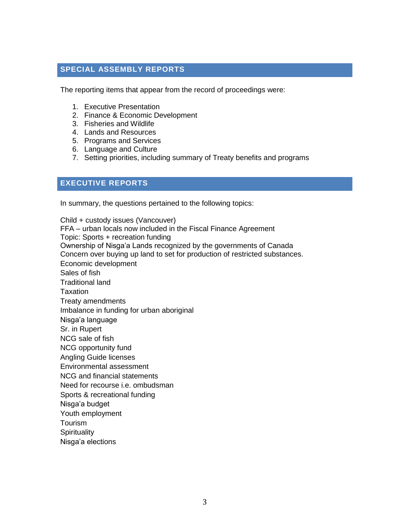### **SPECIAL ASSEMBLY REPORTS**

The reporting items that appear from the record of proceedings were:

- 1. Executive Presentation
- 2. Finance & Economic Development
- 3. Fisheries and Wildlife
- 4. Lands and Resources
- 5. Programs and Services
- 6. Language and Culture
- 7. Setting priorities, including summary of Treaty benefits and programs

#### **EXECUTIVE REPORTS**

In summary, the questions pertained to the following topics:

Child + custody issues (Vancouver) FFA – urban locals now included in the Fiscal Finance Agreement Topic: Sports + recreation funding Ownership of Nisga"a Lands recognized by the governments of Canada Concern over buying up land to set for production of restricted substances. Economic development Sales of fish Traditional land **Taxation** Treaty amendments Imbalance in funding for urban aboriginal Nisga"a language Sr. in Rupert NCG sale of fish NCG opportunity fund Angling Guide licenses Environmental assessment NCG and financial statements Need for recourse i.e. ombudsman Sports & recreational funding Nisga"a budget Youth employment Tourism **Spirituality** Nisga"a elections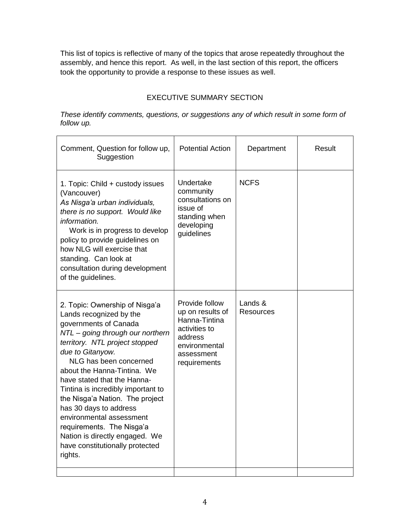This list of topics is reflective of many of the topics that arose repeatedly throughout the assembly, and hence this report. As well, in the last section of this report, the officers took the opportunity to provide a response to these issues as well.

# EXECUTIVE SUMMARY SECTION

*These identify comments, questions, or suggestions any of which result in some form of follow up.*

| Comment, Question for follow up,<br>Suggestion                                                                                                                                                                                                                                                                                                                                                                                                                                                                   | <b>Potential Action</b>                                                                                                        | Department                     | Result |
|------------------------------------------------------------------------------------------------------------------------------------------------------------------------------------------------------------------------------------------------------------------------------------------------------------------------------------------------------------------------------------------------------------------------------------------------------------------------------------------------------------------|--------------------------------------------------------------------------------------------------------------------------------|--------------------------------|--------|
| 1. Topic: Child + custody issues<br>(Vancouver)<br>As Nisga'a urban individuals,<br>there is no support. Would like<br>information.<br>Work is in progress to develop<br>policy to provide guidelines on<br>how NLG will exercise that<br>standing. Can look at<br>consultation during development<br>of the guidelines.                                                                                                                                                                                         | Undertake<br>community<br>consultations on<br>issue of<br>standing when<br>developing<br>guidelines                            | <b>NCFS</b>                    |        |
| 2. Topic: Ownership of Nisga'a<br>Lands recognized by the<br>governments of Canada<br>NTL - going through our northern<br>territory. NTL project stopped<br>due to Gitanyow.<br>NLG has been concerned<br>about the Hanna-Tintina. We<br>have stated that the Hanna-<br>Tintina is incredibly important to<br>the Nisga'a Nation. The project<br>has 30 days to address<br>environmental assessment<br>requirements. The Nisga'a<br>Nation is directly engaged. We<br>have constitutionally protected<br>rights. | Provide follow<br>up on results of<br>Hanna-Tintina<br>activities to<br>address<br>environmental<br>assessment<br>requirements | Lands $\&$<br><b>Resources</b> |        |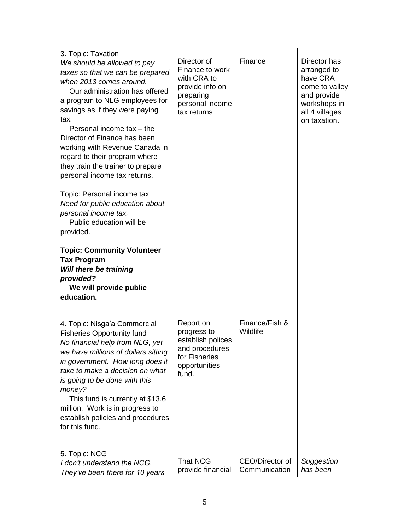| 3. Topic: Taxation<br>We should be allowed to pay<br>taxes so that we can be prepared<br>when 2013 comes around.<br>Our administration has offered<br>a program to NLG employees for<br>savings as if they were paying<br>tax.<br>Personal income tax - the<br>Director of Finance has been<br>working with Revenue Canada in<br>regard to their program where<br>they train the trainer to prepare<br>personal income tax returns. | Director of<br>Finance to work<br>with CRA to<br>provide info on<br>preparing<br>personal income<br>tax returns | Finance                          | Director has<br>arranged to<br>have CRA<br>come to valley<br>and provide<br>workshops in<br>all 4 villages<br>on taxation. |
|-------------------------------------------------------------------------------------------------------------------------------------------------------------------------------------------------------------------------------------------------------------------------------------------------------------------------------------------------------------------------------------------------------------------------------------|-----------------------------------------------------------------------------------------------------------------|----------------------------------|----------------------------------------------------------------------------------------------------------------------------|
| Topic: Personal income tax<br>Need for public education about<br>personal income tax.<br>Public education will be<br>provided.                                                                                                                                                                                                                                                                                                      |                                                                                                                 |                                  |                                                                                                                            |
| <b>Topic: Community Volunteer</b><br><b>Tax Program</b><br>Will there be training<br>provided?<br>We will provide public<br>education.                                                                                                                                                                                                                                                                                              |                                                                                                                 |                                  |                                                                                                                            |
| 4. Topic: Nisga'a Commercial<br><b>Fisheries Opportunity fund</b><br>No financial help from NLG, yet<br>we have millions of dollars sitting<br>in government. How long does it<br>take to make a decision on what<br>is going to be done with this<br>money?<br>This fund is currently at \$13.6<br>million. Work is in progress to<br>establish policies and procedures<br>for this fund.                                          | Report on<br>progress to<br>establish polices<br>and procedures<br>for Fisheries<br>opportunities<br>fund.      | Finance/Fish &<br>Wildlife       |                                                                                                                            |
| 5. Topic: NCG<br>I don't understand the NCG.<br>They've been there for 10 years                                                                                                                                                                                                                                                                                                                                                     | <b>That NCG</b><br>provide financial                                                                            | CEO/Director of<br>Communication | Suggestion<br>has been                                                                                                     |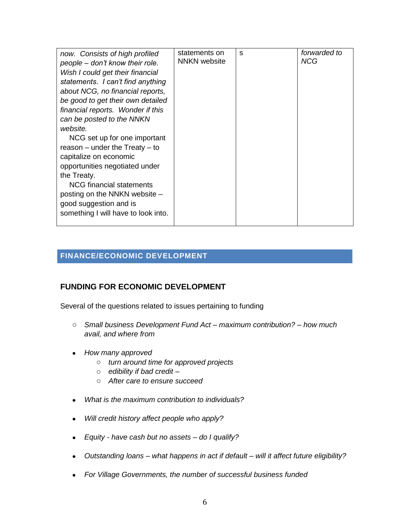| now. Consists of high profiled      | statements on       | S | forwarded to |
|-------------------------------------|---------------------|---|--------------|
| people – don't know their role.     | <b>NNKN</b> website |   | <b>NCG</b>   |
|                                     |                     |   |              |
| Wish I could get their financial    |                     |   |              |
| statements. I can't find anything   |                     |   |              |
| about NCG, no financial reports,    |                     |   |              |
| be good to get their own detailed   |                     |   |              |
| financial reports. Wonder if this   |                     |   |              |
| can be posted to the NNKN           |                     |   |              |
| website.                            |                     |   |              |
| NCG set up for one important        |                     |   |              |
| reason $-$ under the Treaty $-$ to  |                     |   |              |
| capitalize on economic              |                     |   |              |
| opportunities negotiated under      |                     |   |              |
| the Treaty.                         |                     |   |              |
| NCG financial statements            |                     |   |              |
| posting on the NNKN website –       |                     |   |              |
|                                     |                     |   |              |
| good suggestion and is              |                     |   |              |
| something I will have to look into. |                     |   |              |
|                                     |                     |   |              |

# **FINANCE/ECONOMIC DEVELOPMENT**

## **FUNDING FOR ECONOMIC DEVELOPMENT**

Several of the questions related to issues pertaining to funding

- o *Small business Development Fund Act – maximum contribution? – how much avail, and where from*
- *How many approved* 
	- o *turn around time for approved projects*
	- o *edibility if bad credit –*
	- o *After care to ensure succeed*
- *What is the maximum contribution to individuals?*
- *Will credit history affect people who apply?*
- *Equity - have cash but no assets – do I qualify?*
- *Outstanding loans – what happens in act if default – will it affect future eligibility?*
- *For Village Governments, the number of successful business funded*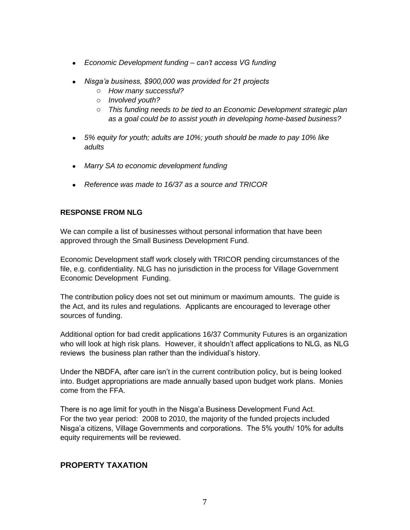- *Economic Development funding – can"t access VG funding*
- *Nisga"a business, \$900,000 was provided for 21 projects*
	- o *How many successful?*
	- o *Involved youth?*
	- o *This funding needs to be tied to an Economic Development strategic plan as a goal could be to assist youth in developing home-based business?*
- *5% equity for youth; adults are 10%; youth should be made to pay 10% like adults*
- *Marry SA to economic development funding*
- *Reference was made to 16/37 as a source and TRICOR*

#### **RESPONSE FROM NLG**

We can compile a list of businesses without personal information that have been approved through the Small Business Development Fund.

Economic Development staff work closely with TRICOR pending circumstances of the file, e.g. confidentiality. NLG has no jurisdiction in the process for Village Government Economic Development Funding.

The contribution policy does not set out minimum or maximum amounts. The guide is the Act, and its rules and regulations. Applicants are encouraged to leverage other sources of funding.

Additional option for bad credit applications 16/37 Community Futures is an organization who will look at high risk plans. However, it shouldn"t affect applications to NLG, as NLG reviews the business plan rather than the individual"s history.

Under the NBDFA, after care isn't in the current contribution policy, but is being looked into. Budget appropriations are made annually based upon budget work plans. Monies come from the FFA.

There is no age limit for youth in the Nisga"a Business Development Fund Act. For the two year period: 2008 to 2010, the majority of the funded projects included Nisga"a citizens, Village Governments and corporations. The 5% youth/ 10% for adults equity requirements will be reviewed.

## **PROPERTY TAXATION**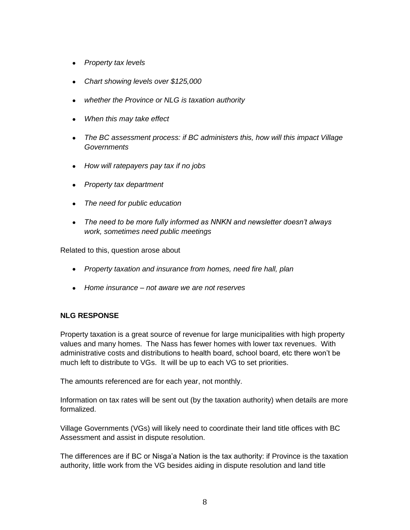- *Property tax levels*
- *Chart showing levels over \$125,000*
- *whether the Province or NLG is taxation authority*
- *When this may take effect*
- *The BC assessment process: if BC administers this, how will this impact Village Governments*
- *How will ratepayers pay tax if no jobs*
- *Property tax department*
- *The need for public education*
- *The need to be more fully informed as NNKN and newsletter doesn"t always work, sometimes need public meetings*

Related to this, question arose about

- *Property taxation and insurance from homes, need fire hall, plan*
- *Home insurance – not aware we are not reserves*

#### **NLG RESPONSE**

Property taxation is a great source of revenue for large municipalities with high property values and many homes. The Nass has fewer homes with lower tax revenues. With administrative costs and distributions to health board, school board, etc there won"t be much left to distribute to VGs. It will be up to each VG to set priorities.

The amounts referenced are for each year, not monthly.

Information on tax rates will be sent out (by the taxation authority) when details are more formalized.

Village Governments (VGs) will likely need to coordinate their land title offices with BC Assessment and assist in dispute resolution.

The differences are if BC or Nisga"a Nation is the tax authority: if Province is the taxation authority, little work from the VG besides aiding in dispute resolution and land title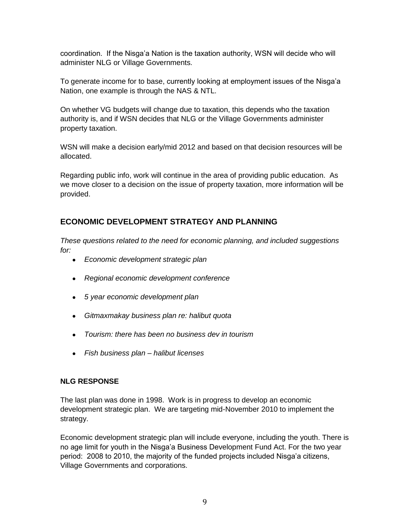coordination. If the Nisga"a Nation is the taxation authority, WSN will decide who will administer NLG or Village Governments.

To generate income for to base, currently looking at employment issues of the Nisga"a Nation, one example is through the NAS & NTL.

On whether VG budgets will change due to taxation, this depends who the taxation authority is, and if WSN decides that NLG or the Village Governments administer property taxation.

WSN will make a decision early/mid 2012 and based on that decision resources will be allocated.

Regarding public info, work will continue in the area of providing public education. As we move closer to a decision on the issue of property taxation, more information will be provided.

# **ECONOMIC DEVELOPMENT STRATEGY AND PLANNING**

*These questions related to the need for economic planning, and included suggestions for:*

- *Economic development strategic plan*
- *Regional economic development conference*
- *5 year economic development plan*
- *Gitmaxmakay business plan re: halibut quota*
- *Tourism: there has been no business dev in tourism*
- *Fish business plan – halibut licenses*

#### **NLG RESPONSE**

The last plan was done in 1998. Work is in progress to develop an economic development strategic plan. We are targeting mid-November 2010 to implement the strategy.

Economic development strategic plan will include everyone, including the youth. There is no age limit for youth in the Nisga"a Business Development Fund Act. For the two year period: 2008 to 2010, the majority of the funded projects included Nisga'a citizens, Village Governments and corporations.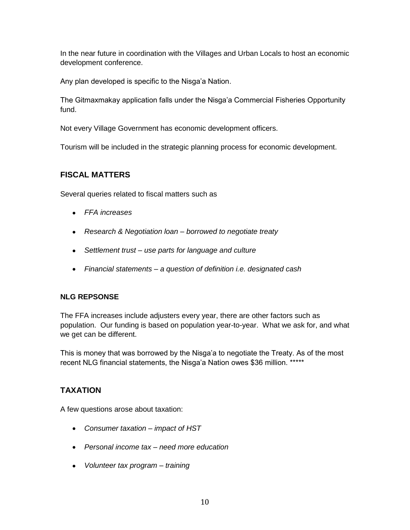In the near future in coordination with the Villages and Urban Locals to host an economic development conference.

Any plan developed is specific to the Nisga'a Nation.

The Gitmaxmakay application falls under the Nisga"a Commercial Fisheries Opportunity fund.

Not every Village Government has economic development officers.

Tourism will be included in the strategic planning process for economic development.

## **FISCAL MATTERS**

Several queries related to fiscal matters such as

- *FFA increases*
- *Research & Negotiation loan – borrowed to negotiate treaty*
- *Settlement trust – use parts for language and culture*
- *Financial statements – a question of definition i.e. designated cash*

#### **NLG REPSONSE**

The FFA increases include adjusters every year, there are other factors such as population. Our funding is based on population year-to-year. What we ask for, and what we get can be different.

This is money that was borrowed by the Nisga"a to negotiate the Treaty. As of the most recent NLG financial statements, the Nisga'a Nation owes \$36 million. \*\*\*\*\*

## **TAXATION**

A few questions arose about taxation:

- *Consumer taxation – impact of HST*
- *Personal income tax – need more education*
- *Volunteer tax program – training*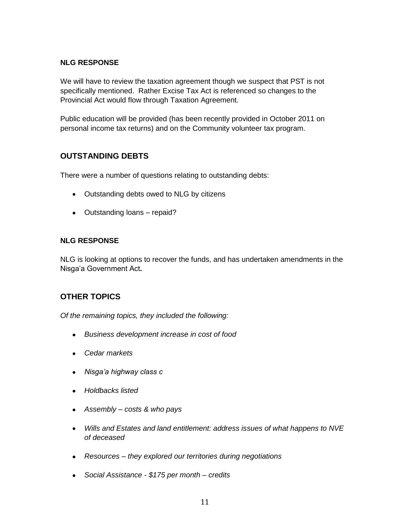We will have to review the taxation agreement though we suspect that PST is not specifically mentioned. Rather Excise Tax Act is referenced so changes to the Provincial Act would flow through Taxation Agreement.

Public education will be provided (has been recently provided in October 2011 on personal income tax returns) and on the Community volunteer tax program.

# **OUTSTANDING DEBTS**

There were a number of questions relating to outstanding debts:

- Outstanding debts owed to NLG by citizens
- Outstanding loans repaid?

#### **NLG RESPONSE**

NLG is looking at options to recover the funds, and has undertaken amendments in the Nisga"a Government Act**.**

## **OTHER TOPICS**

*Of the remaining topics, they included the following:* 

- *Business development increase in cost of food*
- *Cedar markets*
- *Nisga"a highway class c*
- *Holdbacks listed*
- *Assembly – costs & who pays*
- *Wills and Estates and land entitlement: address issues of what happens to NVE of deceased*
- *Resources – they explored our territories during negotiations*
- *Social Assistance - \$175 per month – credits*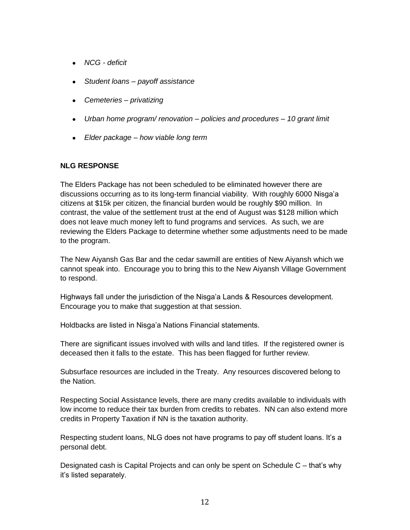- *NCG - deficit*
- *Student loans – payoff assistance*
- *Cemeteries – privatizing*
- *Urban home program/ renovation – policies and procedures – 10 grant limit*
- *Elder package – how viable long term*

The Elders Package has not been scheduled to be eliminated however there are discussions occurring as to its long-term financial viability. With roughly 6000 Nisga"a citizens at \$15k per citizen, the financial burden would be roughly \$90 million. In contrast, the value of the settlement trust at the end of August was \$128 million which does not leave much money left to fund programs and services. As such, we are reviewing the Elders Package to determine whether some adjustments need to be made to the program.

The New Aiyansh Gas Bar and the cedar sawmill are entities of New Aiyansh which we cannot speak into. Encourage you to bring this to the New Aiyansh Village Government to respond.

Highways fall under the jurisdiction of the Nisga"a Lands & Resources development. Encourage you to make that suggestion at that session.

Holdbacks are listed in Nisga"a Nations Financial statements.

There are significant issues involved with wills and land titles. If the registered owner is deceased then it falls to the estate. This has been flagged for further review.

Subsurface resources are included in the Treaty. Any resources discovered belong to the Nation.

Respecting Social Assistance levels, there are many credits available to individuals with low income to reduce their tax burden from credits to rebates. NN can also extend more credits in Property Taxation if NN is the taxation authority.

Respecting student loans, NLG does not have programs to pay off student loans. It's a personal debt.

Designated cash is Capital Projects and can only be spent on Schedule C – that"s why it"s listed separately.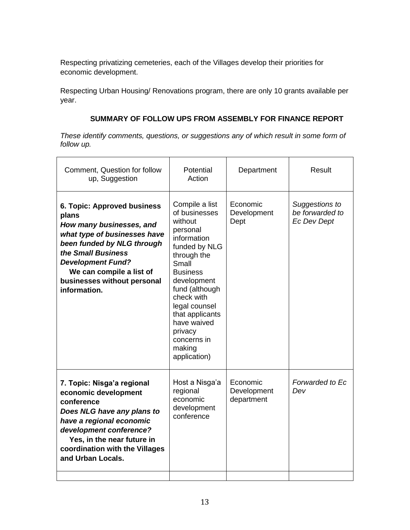Respecting privatizing cemeteries, each of the Villages develop their priorities for economic development.

Respecting Urban Housing/ Renovations program, there are only 10 grants available per year.

### **SUMMARY OF FOLLOW UPS FROM ASSEMBLY FOR FINANCE REPORT**

*These identify comments, questions, or suggestions any of which result in some form of follow up.*

| Comment, Question for follow<br>up, Suggestion                                                                                                                                                                                                              | Potential<br>Action                                                                                                                                                                                                                                                                     | Department                            | Result                                                  |
|-------------------------------------------------------------------------------------------------------------------------------------------------------------------------------------------------------------------------------------------------------------|-----------------------------------------------------------------------------------------------------------------------------------------------------------------------------------------------------------------------------------------------------------------------------------------|---------------------------------------|---------------------------------------------------------|
| 6. Topic: Approved business<br>plans<br>How many businesses, and<br>what type of businesses have<br>been funded by NLG through<br>the Small Business<br><b>Development Fund?</b><br>We can compile a list of<br>businesses without personal<br>information. | Compile a list<br>of businesses<br>without<br>personal<br>information<br>funded by NLG<br>through the<br>Small<br><b>Business</b><br>development<br>fund (although<br>check with<br>legal counsel<br>that applicants<br>have waived<br>privacy<br>concerns in<br>making<br>application) | Economic<br>Development<br>Dept       | Suggestions to<br>be forwarded to<br><b>Ec Dev Dept</b> |
| 7. Topic: Nisga'a regional<br>economic development<br>conference<br>Does NLG have any plans to<br>have a regional economic<br>development conference?<br>Yes, in the near future in<br>coordination with the Villages<br>and Urban Locals.                  | Host a Nisga'a<br>regional<br>economic<br>development<br>conference                                                                                                                                                                                                                     | Economic<br>Development<br>department | Forwarded to Ec<br>Dev                                  |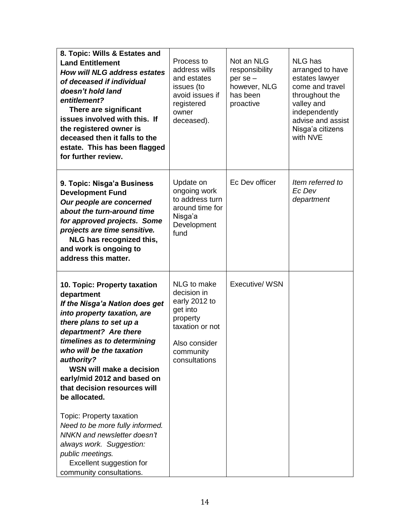| 8. Topic: Wills & Estates and<br><b>Land Entitlement</b><br><b>How will NLG address estates</b><br>of deceased if individual<br>doesn't hold land<br>entitlement?<br>There are significant<br>issues involved with this. If<br>the registered owner is<br>deceased then it falls to the<br>estate. This has been flagged<br>for further review.                                                                                                                                                                                                            | Process to<br>address wills<br>and estates<br>issues (to<br>avoid issues if<br>registered<br>owner<br>deceased).                      | Not an NLG<br>responsibility<br>$per$ se $-$<br>however, NLG<br>has been<br>proactive | <b>NLG</b> has<br>arranged to have<br>estates lawyer<br>come and travel<br>throughout the<br>valley and<br>independently<br>advise and assist<br>Nisga'a citizens<br>with NVE |
|------------------------------------------------------------------------------------------------------------------------------------------------------------------------------------------------------------------------------------------------------------------------------------------------------------------------------------------------------------------------------------------------------------------------------------------------------------------------------------------------------------------------------------------------------------|---------------------------------------------------------------------------------------------------------------------------------------|---------------------------------------------------------------------------------------|-------------------------------------------------------------------------------------------------------------------------------------------------------------------------------|
| 9. Topic: Nisga'a Business<br><b>Development Fund</b><br>Our people are concerned<br>about the turn-around time<br>for approved projects. Some<br>projects are time sensitive.<br>NLG has recognized this,<br>and work is ongoing to<br>address this matter.                                                                                                                                                                                                                                                                                               | Update on<br>ongoing work<br>to address turn<br>around time for<br>Nisga'a<br>Development<br>fund                                     | Ec Dev officer                                                                        | Item referred to<br>Ec Dev<br>department                                                                                                                                      |
| 10. Topic: Property taxation<br>department<br>If the Nisga'a Nation does get<br>into property taxation, are<br>there plans to set up a<br>department? Are there<br>timelines as to determining<br>who will be the taxation<br>authority?<br>WSN will make a decision<br>early/mid 2012 and based on<br>that decision resources will<br>be allocated.<br>Topic: Property taxation<br>Need to be more fully informed.<br>NNKN and newsletter doesn't<br>always work. Suggestion:<br>public meetings.<br>Excellent suggestion for<br>community consultations. | NLG to make<br>decision in<br>early 2012 to<br>get into<br>property<br>taxation or not<br>Also consider<br>community<br>consultations | Executive/ WSN                                                                        |                                                                                                                                                                               |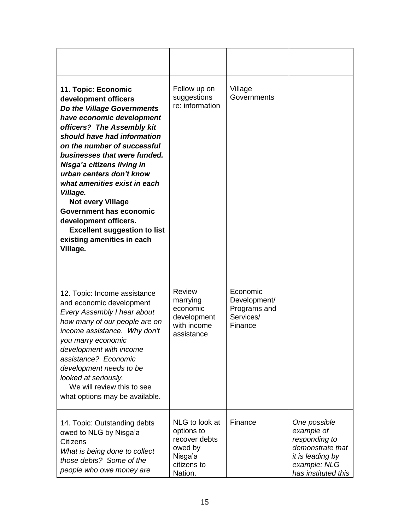| 11. Topic: Economic<br>development officers<br>Do the Village Governments<br>have economic development<br>officers? The Assembly kit<br>should have had information<br>on the number of successful<br>businesses that were funded.<br>Nisga'a citizens living in<br>urban centers don't know<br>what amenities exist in each<br>Village.<br><b>Not every Village</b><br><b>Government has economic</b><br>development officers.<br><b>Excellent suggestion to list</b><br>existing amenities in each<br>Village. | Follow up on<br>suggestions<br>re: information                                                | Village<br>Governments                                           |                                                                                                                            |
|------------------------------------------------------------------------------------------------------------------------------------------------------------------------------------------------------------------------------------------------------------------------------------------------------------------------------------------------------------------------------------------------------------------------------------------------------------------------------------------------------------------|-----------------------------------------------------------------------------------------------|------------------------------------------------------------------|----------------------------------------------------------------------------------------------------------------------------|
| 12. Topic: Income assistance<br>and economic development<br>Every Assembly I hear about<br>how many of our people are on<br>income assistance. Why don't<br>you marry economic<br>development with income<br>assistance? Economic<br>development needs to be<br>looked at seriously.<br>We will review this to see<br>what options may be available.                                                                                                                                                             | <b>Review</b><br>marrying<br>economic<br>development<br>with income<br>assistance             | Economic<br>Development/<br>Programs and<br>Services/<br>Finance |                                                                                                                            |
| 14. Topic: Outstanding debts<br>owed to NLG by Nisga'a<br><b>Citizens</b><br>What is being done to collect<br>those debts? Some of the<br>people who owe money are                                                                                                                                                                                                                                                                                                                                               | NLG to look at<br>options to<br>recover debts<br>owed by<br>Nisga'a<br>citizens to<br>Nation. | Finance                                                          | One possible<br>example of<br>responding to<br>demonstrate that<br>it is leading by<br>example: NLG<br>has instituted this |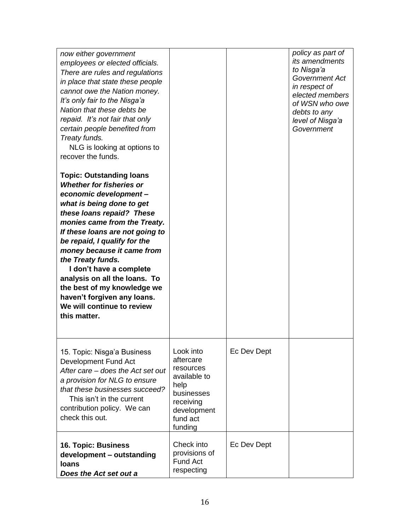| now either government<br>employees or elected officials.<br>There are rules and regulations<br>in place that state these people<br>cannot owe the Nation money.<br>It's only fair to the Nisga'a<br>Nation that these debts be<br>repaid. It's not fair that only<br>certain people benefited from<br>Treaty funds.<br>NLG is looking at options to<br>recover the funds.                                                                                                           |                                                                                                                              |             | policy as part of<br><i>its amendments</i><br>to Nisga'a<br>Government Act<br>in respect of<br>elected members<br>of WSN who owe<br>debts to any<br>level of Nisga'a<br>Government |
|-------------------------------------------------------------------------------------------------------------------------------------------------------------------------------------------------------------------------------------------------------------------------------------------------------------------------------------------------------------------------------------------------------------------------------------------------------------------------------------|------------------------------------------------------------------------------------------------------------------------------|-------------|------------------------------------------------------------------------------------------------------------------------------------------------------------------------------------|
| <b>Topic: Outstanding loans</b><br><b>Whether for fisheries or</b><br>economic development-<br>what is being done to get<br>these loans repaid? These<br>monies came from the Treaty.<br>If these loans are not going to<br>be repaid, I qualify for the<br>money because it came from<br>the Treaty funds.<br>I don't have a complete<br>analysis on all the loans. To<br>the best of my knowledge we<br>haven't forgiven any loans.<br>We will continue to review<br>this matter. |                                                                                                                              |             |                                                                                                                                                                                    |
| 15. Topic: Nisga'a Business<br>Development Fund Act<br>After care - does the Act set out<br>a provision for NLG to ensure<br>that these businesses succeed?<br>This isn't in the current<br>contribution policy. We can<br>check this out.                                                                                                                                                                                                                                          | Look into<br>aftercare<br>resources<br>available to<br>help<br>businesses<br>receiving<br>development<br>fund act<br>funding | Ec Dev Dept |                                                                                                                                                                                    |
| 16. Topic: Business<br>development - outstanding<br><b>loans</b><br>Does the Act set out a                                                                                                                                                                                                                                                                                                                                                                                          | Check into<br>provisions of<br><b>Fund Act</b><br>respecting                                                                 | Ec Dev Dept |                                                                                                                                                                                    |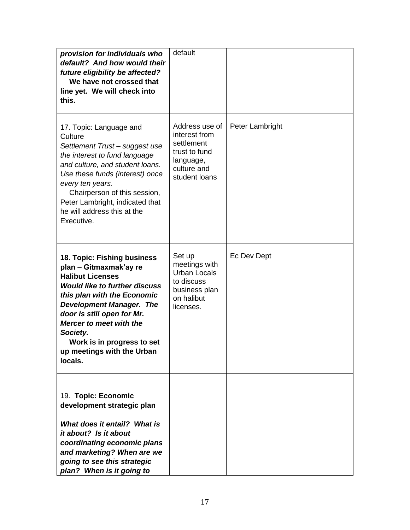| provision for individuals who<br>default? And how would their<br>future eligibility be affected?<br>We have not crossed that<br>line yet. We will check into<br>this.                                                                                                                                                                  | default                                                                                                     |                 |  |
|----------------------------------------------------------------------------------------------------------------------------------------------------------------------------------------------------------------------------------------------------------------------------------------------------------------------------------------|-------------------------------------------------------------------------------------------------------------|-----------------|--|
| 17. Topic: Language and<br>Culture<br>Settlement Trust-suggest use<br>the interest to fund language<br>and culture, and student loans.<br>Use these funds (interest) once<br>every ten years.<br>Chairperson of this session,<br>Peter Lambright, indicated that<br>he will address this at the<br>Executive.                          | Address use of<br>interest from<br>settlement<br>trust to fund<br>language,<br>culture and<br>student loans | Peter Lambright |  |
| 18. Topic: Fishing business<br>plan - Gitmaxmak'ay re<br><b>Halibut Licenses</b><br><b>Would like to further discuss</b><br>this plan with the Economic<br><b>Development Manager. The</b><br>door is still open for Mr.<br>Mercer to meet with the<br>Society.<br>Work is in progress to set<br>up meetings with the Urban<br>locals. | Set up<br>meetings with<br><b>Urban Locals</b><br>to discuss<br>business plan<br>on halibut<br>licenses.    | Ec Dev Dept     |  |
| 19. Topic: Economic<br>development strategic plan<br>What does it entail? What is<br>it about? Is it about<br>coordinating economic plans<br>and marketing? When are we<br>going to see this strategic<br>plan? When is it going to                                                                                                    |                                                                                                             |                 |  |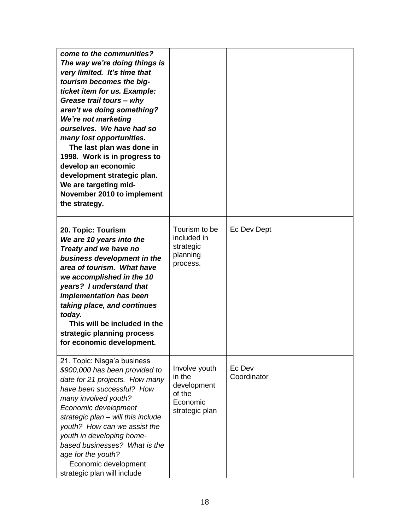| come to the communities?<br>The way we're doing things is<br>very limited. It's time that<br>tourism becomes the big-<br>ticket item for us. Example:<br>Grease trail tours - why<br>aren't we doing something?<br>We're not marketing<br>ourselves. We have had so<br>many lost opportunities.<br>The last plan was done in<br>1998. Work is in progress to<br>develop an economic<br>development strategic plan.<br>We are targeting mid-<br>November 2010 to implement<br>the strategy. |                                                                                |                       |  |
|--------------------------------------------------------------------------------------------------------------------------------------------------------------------------------------------------------------------------------------------------------------------------------------------------------------------------------------------------------------------------------------------------------------------------------------------------------------------------------------------|--------------------------------------------------------------------------------|-----------------------|--|
| 20. Topic: Tourism<br>We are 10 years into the<br>Treaty and we have no<br>business development in the<br>area of tourism. What have<br>we accomplished in the 10<br>years? I understand that<br><i>implementation has been</i><br>taking place, and continues<br>today.<br>This will be included in the<br>strategic planning process<br>for economic development.                                                                                                                        | Tourism to be<br>included in<br>strategic<br>planning<br>process.              | Ec Dev Dept           |  |
| 21. Topic: Nisga'a business<br>\$900,000 has been provided to<br>date for 21 projects. How many<br>have been successful? How<br>many involved youth?<br>Economic development<br>strategic plan - will this include<br>youth? How can we assist the<br>youth in developing home-<br>based businesses? What is the<br>age for the youth?<br>Economic development<br>strategic plan will include                                                                                              | Involve youth<br>in the<br>development<br>of the<br>Economic<br>strategic plan | Ec Dev<br>Coordinator |  |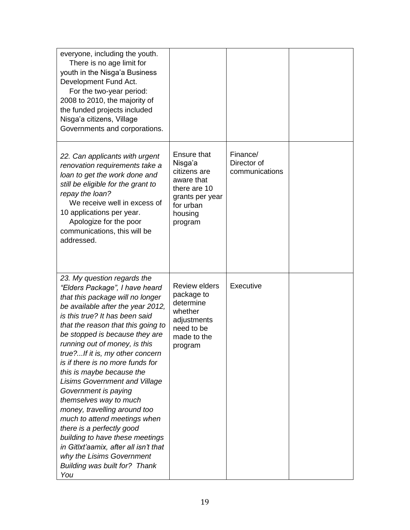| everyone, including the youth.<br>There is no age limit for<br>youth in the Nisga'a Business<br>Development Fund Act.<br>For the two-year period:<br>2008 to 2010, the majority of<br>the funded projects included<br>Nisga'a citizens, Village<br>Governments and corporations.                                                                                                                                                                                                                                                                                                                                                                                                                                              |                                                                                                                            |                                           |  |
|-------------------------------------------------------------------------------------------------------------------------------------------------------------------------------------------------------------------------------------------------------------------------------------------------------------------------------------------------------------------------------------------------------------------------------------------------------------------------------------------------------------------------------------------------------------------------------------------------------------------------------------------------------------------------------------------------------------------------------|----------------------------------------------------------------------------------------------------------------------------|-------------------------------------------|--|
| 22. Can applicants with urgent<br>renovation requirements take a<br>loan to get the work done and<br>still be eligible for the grant to<br>repay the loan?<br>We receive well in excess of<br>10 applications per year.<br>Apologize for the poor<br>communications, this will be<br>addressed.                                                                                                                                                                                                                                                                                                                                                                                                                               | Ensure that<br>Nisga'a<br>citizens are<br>aware that<br>there are 10<br>grants per year<br>for urban<br>housing<br>program | Finance/<br>Director of<br>communications |  |
| 23. My question regards the<br>"Elders Package", I have heard<br>that this package will no longer<br>be available after the year 2012,<br>is this true? It has been said<br>that the reason that this going to<br>be stopped is because they are<br>running out of money, is this<br>true?If it is, my other concern<br>is if there is no more funds for<br>this is maybe because the<br><b>Lisims Government and Village</b><br>Government is paying<br>themselves way to much<br>money, travelling around too<br>much to attend meetings when<br>there is a perfectly good<br>building to have these meetings<br>in Gitlxt'aamix, after all isn't that<br>why the Lisims Government<br>Building was built for? Thank<br>You | <b>Review elders</b><br>package to<br>determine<br>whether<br>adjustments<br>need to be<br>made to the<br>program          | Executive                                 |  |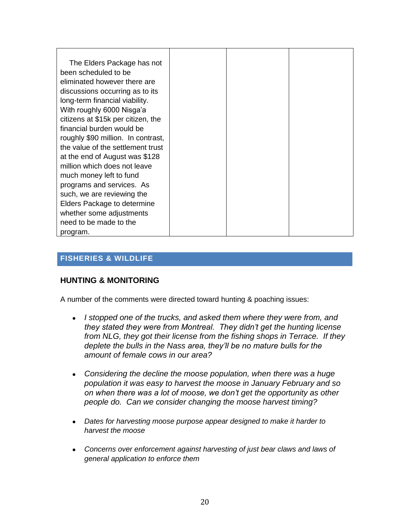| The Elders Package has not<br>been scheduled to be<br>eliminated however there are<br>discussions occurring as to its |  |  |
|-----------------------------------------------------------------------------------------------------------------------|--|--|
| long-term financial viability.                                                                                        |  |  |
| With roughly 6000 Nisga'a                                                                                             |  |  |
| citizens at \$15k per citizen, the                                                                                    |  |  |
| financial burden would be                                                                                             |  |  |
| roughly \$90 million. In contrast,                                                                                    |  |  |
| the value of the settlement trust                                                                                     |  |  |
| at the end of August was \$128                                                                                        |  |  |
| million which does not leave                                                                                          |  |  |
| much money left to fund                                                                                               |  |  |
| programs and services. As                                                                                             |  |  |
| such, we are reviewing the                                                                                            |  |  |
| Elders Package to determine                                                                                           |  |  |
| whether some adjustments                                                                                              |  |  |
| need to be made to the                                                                                                |  |  |
| program.                                                                                                              |  |  |

# **FISHERIES & WILDLIFE**

## **HUNTING & MONITORING**

A number of the comments were directed toward hunting & poaching issues:

- *I stopped one of the trucks, and asked them where they were from, and they stated they were from Montreal. They didn"t get the hunting license from NLG, they got their license from the fishing shops in Terrace. If they deplete the bulls in the Nass area, they"ll be no mature bulls for the amount of female cows in our area?*
- *Considering the decline the moose population, when there was a huge population it was easy to harvest the moose in January February and so on when there was a lot of moose, we don"t get the opportunity as other people do. Can we consider changing the moose harvest timing?*
- *Dates for harvesting moose purpose appear designed to make it harder to harvest the moose*
- *Concerns over enforcement against harvesting of just bear claws and laws of general application to enforce them*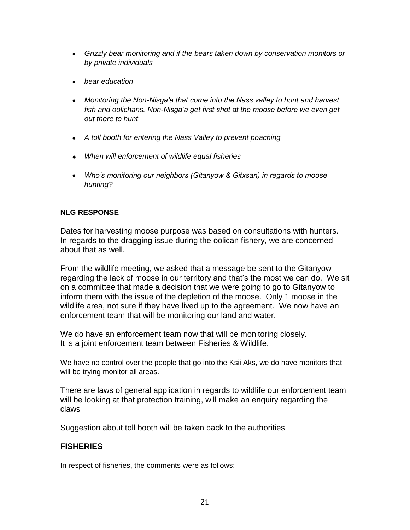- *Grizzly bear monitoring and if the bears taken down by conservation monitors or by private individuals*
- *bear education*
- *Monitoring the Non-Nisga"a that come into the Nass valley to hunt and harvest fish and oolichans. Non-Nisga"a get first shot at the moose before we even get out there to hunt*
- *A toll booth for entering the Nass Valley to prevent poaching*
- *When will enforcement of wildlife equal fisheries*
- *Who"s monitoring our neighbors (Gitanyow & Gitxsan) in regards to moose hunting?*

Dates for harvesting moose purpose was based on consultations with hunters. In regards to the dragging issue during the oolican fishery, we are concerned about that as well.

From the wildlife meeting, we asked that a message be sent to the Gitanyow regarding the lack of moose in our territory and that"s the most we can do. We sit on a committee that made a decision that we were going to go to Gitanyow to inform them with the issue of the depletion of the moose. Only 1 moose in the wildlife area, not sure if they have lived up to the agreement. We now have an enforcement team that will be monitoring our land and water.

We do have an enforcement team now that will be monitoring closely. It is a joint enforcement team between Fisheries & Wildlife.

We have no control over the people that go into the Ksii Aks, we do have monitors that will be trying monitor all areas.

There are laws of general application in regards to wildlife our enforcement team will be looking at that protection training, will make an enquiry regarding the claws

Suggestion about toll booth will be taken back to the authorities

## **FISHERIES**

In respect of fisheries, the comments were as follows: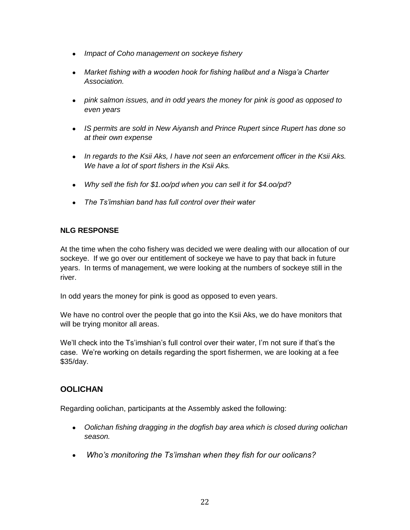- *Impact of Coho management on sockeye fishery*
- *Market fishing with a wooden hook for fishing halibut and a Nisga"a Charter Association.*
- *pink salmon issues, and in odd years the money for pink is good as opposed to even years*
- *IS permits are sold in New Aiyansh and Prince Rupert since Rupert has done so at their own expense*
- *In regards to the Ksii Aks, I have not seen an enforcement officer in the Ksii Aks. We have a lot of sport fishers in the Ksii Aks.*
- *Why sell the fish for \$1.oo/pd when you can sell it for \$4.oo/pd?*
- *The Ts"imshian band has full control over their water*

At the time when the coho fishery was decided we were dealing with our allocation of our sockeye. If we go over our entitlement of sockeye we have to pay that back in future years. In terms of management, we were looking at the numbers of sockeye still in the river.

In odd years the money for pink is good as opposed to even years.

We have no control over the people that go into the Ksii Aks, we do have monitors that will be trying monitor all areas.

We'll check into the Ts'imshian's full control over their water, I'm not sure if that's the case. We're working on details regarding the sport fishermen, we are looking at a fee \$35/day.

## **OOLICHAN**

Regarding oolichan, participants at the Assembly asked the following:

- *Oolichan fishing dragging in the dogfish bay area which is closed during oolichan season.*
- *Who"s monitoring the Ts"imshan when they fish for our oolicans?*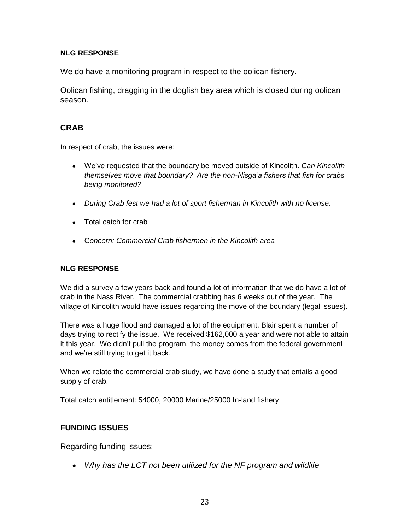We do have a monitoring program in respect to the oolican fishery.

Oolican fishing, dragging in the dogfish bay area which is closed during oolican season.

# **CRAB**

In respect of crab, the issues were:

- We"ve requested that the boundary be moved outside of Kincolith. *Can Kincolith themselves move that boundary? Are the non-Nisga"a fishers that fish for crabs being monitored?*
- *During Crab fest we had a lot of sport fisherman in Kincolith with no license.*
- Total catch for crab
- C*oncern: Commercial Crab fishermen in the Kincolith area*

# **NLG RESPONSE**

We did a survey a few years back and found a lot of information that we do have a lot of crab in the Nass River. The commercial crabbing has 6 weeks out of the year. The village of Kincolith would have issues regarding the move of the boundary (legal issues).

There was a huge flood and damaged a lot of the equipment, Blair spent a number of days trying to rectify the issue. We received \$162,000 a year and were not able to attain it this year. We didn"t pull the program, the money comes from the federal government and we"re still trying to get it back.

When we relate the commercial crab study, we have done a study that entails a good supply of crab.

Total catch entitlement: 54000, 20000 Marine/25000 In-land fishery

# **FUNDING ISSUES**

Regarding funding issues:

*Why has the LCT not been utilized for the NF program and wildlife*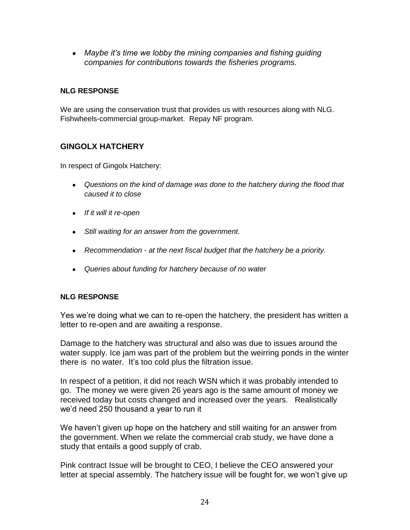*Maybe it"s time we lobby the mining companies and fishing guiding companies for contributions towards the fisheries programs.*

## **NLG RESPONSE**

We are using the conservation trust that provides us with resources along with NLG. Fishwheels-commercial group-market. Repay NF program.

# **GINGOLX HATCHERY**

In respect of Gingolx Hatchery:

- *Questions on the kind of damage was done to the hatchery during the flood that caused it to close*
- *If it will it re-open*
- *Still waiting for an answer from the government.*
- *Recommendation - at the next fiscal budget that the hatchery be a priority.*
- *Queries about funding for hatchery because of no water*

## **NLG RESPONSE**

Yes we"re doing what we can to re-open the hatchery, the president has written a letter to re-open and are awaiting a response.

Damage to the hatchery was structural and also was due to issues around the water supply. Ice jam was part of the problem but the weirring ponds in the winter there is no water. It"s too cold plus the filtration issue.

In respect of a petition, it did not reach WSN which it was probably intended to go. The money we were given 26 years ago is the same amount of money we received today but costs changed and increased over the years. Realistically we"d need 250 thousand a year to run it

We haven"t given up hope on the hatchery and still waiting for an answer from the government. When we relate the commercial crab study, we have done a study that entails a good supply of crab.

Pink contract Issue will be brought to CEO, I believe the CEO answered your letter at special assembly. The hatchery issue will be fought for, we won"t give up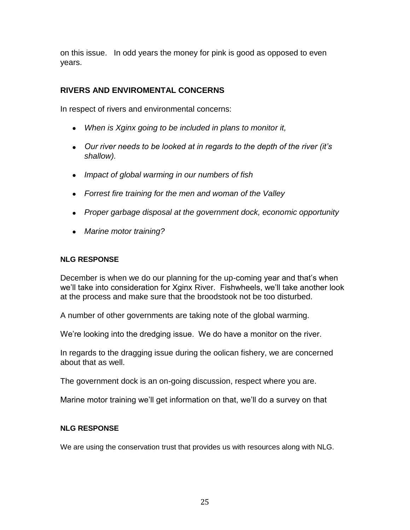on this issue. In odd years the money for pink is good as opposed to even years.

# **RIVERS AND ENVIROMENTAL CONCERNS**

In respect of rivers and environmental concerns:

- *When is Xginx going to be included in plans to monitor it,*
- *Our river needs to be looked at in regards to the depth of the river (it"s shallow).*
- *Impact of global warming in our numbers of fish*
- *Forrest fire training for the men and woman of the Valley*
- *Proper garbage disposal at the government dock, economic opportunity*
- *Marine motor training?*

#### **NLG RESPONSE**

December is when we do our planning for the up-coming year and that"s when we"ll take into consideration for Xginx River. Fishwheels, we"ll take another look at the process and make sure that the broodstook not be too disturbed.

A number of other governments are taking note of the global warming.

We're looking into the dredging issue. We do have a monitor on the river.

In regards to the dragging issue during the oolican fishery, we are concerned about that as well.

The government dock is an on-going discussion, respect where you are.

Marine motor training we"ll get information on that, we"ll do a survey on that

## **NLG RESPONSE**

We are using the conservation trust that provides us with resources along with NLG.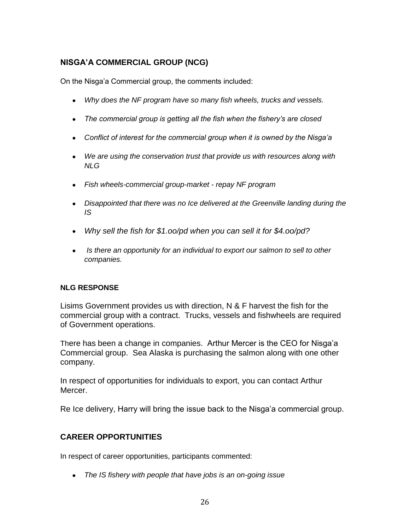# **NISGA'A COMMERCIAL GROUP (NCG)**

On the Nisga"a Commercial group, the comments included:

- *Why does the NF program have so many fish wheels, trucks and vessels.*
- *The commercial group is getting all the fish when the fishery"s are closed*
- *Conflict of interest for the commercial group when it is owned by the Nisga"a*
- *We are using the conservation trust that provide us with resources along with NLG*
- *Fish wheels-commercial group-market - repay NF program*
- *Disappointed that there was no Ice delivered at the Greenville landing during the IS*
- *Why sell the fish for \$1.oo/pd when you can sell it for \$4.oo/pd?*
- *Is there an opportunity for an individual to export our salmon to sell to other companies.*

#### **NLG RESPONSE**

Lisims Government provides us with direction, N & F harvest the fish for the commercial group with a contract. Trucks, vessels and fishwheels are required of Government operations.

There has been a change in companies. Arthur Mercer is the CEO for Nisga"a Commercial group. Sea Alaska is purchasing the salmon along with one other company.

In respect of opportunities for individuals to export, you can contact Arthur Mercer.

Re Ice delivery, Harry will bring the issue back to the Nisga"a commercial group.

# **CAREER OPPORTUNITIES**

In respect of career opportunities, participants commented:

*The IS fishery with people that have jobs is an on-going issue*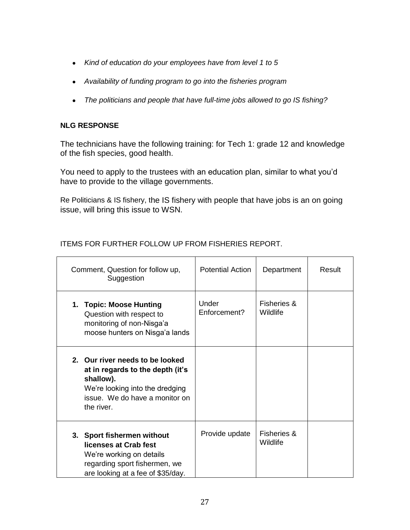- *Kind of education do your employees have from level 1 to 5*
- *Availability of funding program to go into the fisheries program*
- *The politicians and people that have full-time jobs allowed to go IS fishing?*

The technicians have the following training: for Tech 1: grade 12 and knowledge of the fish species, good health.

You need to apply to the trustees with an education plan, similar to what you"d have to provide to the village governments.

Re Politicians & IS fishery, the IS fishery with people that have jobs is an on going issue, will bring this issue to WSN.

| Comment, Question for follow up,<br>Suggestion                                                                                                                      | <b>Potential Action</b> | Department                         | Result |
|---------------------------------------------------------------------------------------------------------------------------------------------------------------------|-------------------------|------------------------------------|--------|
| 1. Topic: Moose Hunting<br>Question with respect to<br>monitoring of non-Nisga'a<br>moose hunters on Nisga'a lands                                                  | Under<br>Enforcement?   | <b>Fisheries &amp;</b><br>Wildlife |        |
| 2. Our river needs to be looked<br>at in regards to the depth (it's<br>shallow).<br>We're looking into the dredging<br>issue. We do have a monitor on<br>the river. |                         |                                    |        |
| 3. Sport fishermen without<br>licenses at Crab fest<br>We're working on details<br>regarding sport fishermen, we<br>are looking at a fee of \$35/day.               | Provide update          | <b>Fisheries &amp;</b><br>Wildlife |        |

# ITEMS FOR FURTHER FOLLOW UP FROM FISHERIES REPORT.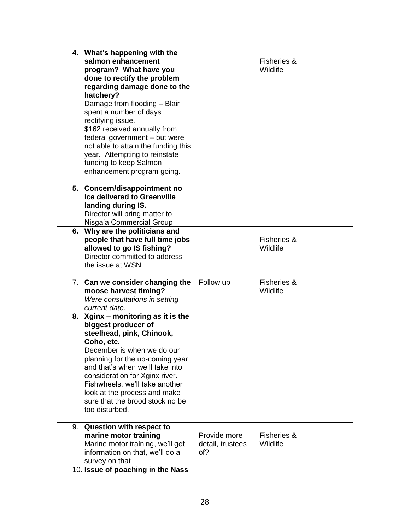| 4. What's happening with the<br>salmon enhancement<br>program? What have you<br>done to rectify the problem<br>regarding damage done to the<br>hatchery?<br>Damage from flooding - Blair<br>spent a number of days<br>rectifying issue.<br>\$162 received annually from<br>federal government - but were                                                          |                                         | Fisheries &<br>Wildlife |  |
|-------------------------------------------------------------------------------------------------------------------------------------------------------------------------------------------------------------------------------------------------------------------------------------------------------------------------------------------------------------------|-----------------------------------------|-------------------------|--|
| not able to attain the funding this<br>year. Attempting to reinstate<br>funding to keep Salmon<br>enhancement program going.                                                                                                                                                                                                                                      |                                         |                         |  |
| 5. Concern/disappointment no<br>ice delivered to Greenville<br>landing during IS.<br>Director will bring matter to<br>Nisga'a Commercial Group                                                                                                                                                                                                                    |                                         |                         |  |
| 6. Why are the politicians and<br>people that have full time jobs<br>allowed to go IS fishing?<br>Director committed to address<br>the issue at WSN                                                                                                                                                                                                               |                                         | Fisheries &<br>Wildlife |  |
| 7. Can we consider changing the<br>moose harvest timing?<br>Were consultations in setting<br>current date.                                                                                                                                                                                                                                                        | Follow up                               | Fisheries &<br>Wildlife |  |
| 8. Xginx - monitoring as it is the<br>biggest producer of<br>steelhead, pink, Chinook,<br>Coho, etc.<br>December is when we do our<br>planning for the up-coming year<br>and that's when we'll take into<br>consideration for Xginx river.<br>Fishwheels, we'll take another<br>look at the process and make<br>sure that the brood stock no be<br>too disturbed. |                                         |                         |  |
| 9. Question with respect to<br>marine motor training<br>Marine motor training, we'll get<br>information on that, we'll do a<br>survey on that<br>10. Issue of poaching in the Nass                                                                                                                                                                                | Provide more<br>detail, trustees<br>of? | Fisheries &<br>Wildlife |  |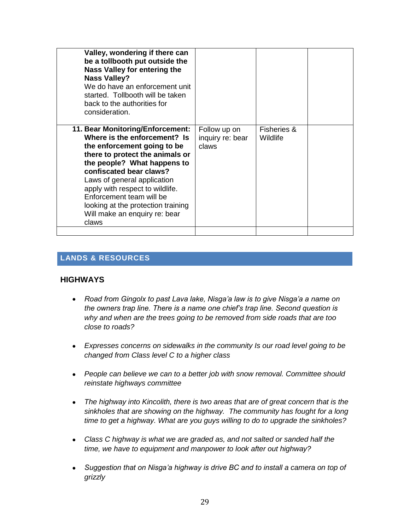| be a tollbooth put outside the<br>Nass Valley for entering the<br><b>Nass Valley?</b><br>We do have an enforcement unit<br>started. Tollbooth will be taken<br>back to the authorities for<br>consideration.                                                                                                                                                               |                                           |                                    |  |
|----------------------------------------------------------------------------------------------------------------------------------------------------------------------------------------------------------------------------------------------------------------------------------------------------------------------------------------------------------------------------|-------------------------------------------|------------------------------------|--|
| 11. Bear Monitoring/Enforcement:<br>Where is the enforcement? Is<br>the enforcement going to be<br>there to protect the animals or<br>the people? What happens to<br>confiscated bear claws?<br>Laws of general application<br>apply with respect to wildlife.<br>Enforcement team will be<br>looking at the protection training<br>Will make an enquiry re: bear<br>claws | Follow up on<br>inquiry re: bear<br>claws | <b>Fisheries &amp;</b><br>Wildlife |  |

# **LANDS & RESOURCES**

#### **HIGHWAYS**

- *Road from Gingolx to past Lava lake, Nisga"a law is to give Nisga"a a name on the owners trap line. There is a name one chief"s trap line. Second question is why and when are the trees going to be removed from side roads that are too close to roads?*
- *Expresses concerns on sidewalks in the community Is our road level going to be changed from Class level C to a higher class*
- *People can believe we can to a better job with snow removal. Committee should reinstate highways committee*
- *The highway into Kincolith, there is two areas that are of great concern that is the sinkholes that are showing on the highway. The community has fought for a long time to get a highway. What are you guys willing to do to upgrade the sinkholes?*
- *Class C highway is what we are graded as, and not salted or sanded half the time, we have to equipment and manpower to look after out highway?*
- *Suggestion that on Nisga"a highway is drive BC and to install a camera on top of grizzly*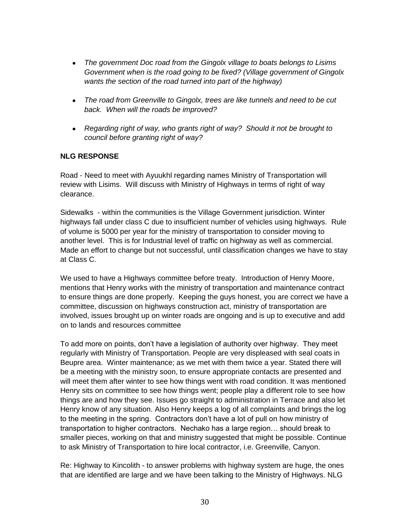- *The government Doc road from the Gingolx village to boats belongs to Lisims Government when is the road going to be fixed? (Village government of Gingolx wants the section of the road turned into part of the highway)*
- *The road from Greenville to Gingolx, trees are like tunnels and need to be cut back. When will the roads be improved?*
- *Regarding right of way, who grants right of way? Should it not be brought to council before granting right of way?*

Road - Need to meet with Ayuukhl regarding names Ministry of Transportation will review with Lisims. Will discuss with Ministry of Highways in terms of right of way clearance.

Sidewalks - within the communities is the Village Government jurisdiction. Winter highways fall under class C due to insufficient number of vehicles using highways. Rule of volume is 5000 per year for the ministry of transportation to consider moving to another level. This is for Industrial level of traffic on highway as well as commercial. Made an effort to change but not successful, until classification changes we have to stay at Class C.

We used to have a Highways committee before treaty. Introduction of Henry Moore, mentions that Henry works with the ministry of transportation and maintenance contract to ensure things are done properly. Keeping the guys honest, you are correct we have a committee, discussion on highways construction act, ministry of transportation are involved, issues brought up on winter roads are ongoing and is up to executive and add on to lands and resources committee

To add more on points, don"t have a legislation of authority over highway. They meet regularly with Ministry of Transportation. People are very displeased with seal coats in Beupre area. Winter maintenance; as we met with them twice a year. Stated there will be a meeting with the ministry soon, to ensure appropriate contacts are presented and will meet them after winter to see how things went with road condition. It was mentioned Henry sits on committee to see how things went; people play a different role to see how things are and how they see. Issues go straight to administration in Terrace and also let Henry know of any situation. Also Henry keeps a log of all complaints and brings the log to the meeting in the spring. Contractors don"t have a lot of pull on how ministry of transportation to higher contractors. Nechako has a large region… should break to smaller pieces, working on that and ministry suggested that might be possible. Continue to ask Ministry of Transportation to hire local contractor, i.e. Greenville, Canyon.

Re: Highway to Kincolith - to answer problems with highway system are huge, the ones that are identified are large and we have been talking to the Ministry of Highways. NLG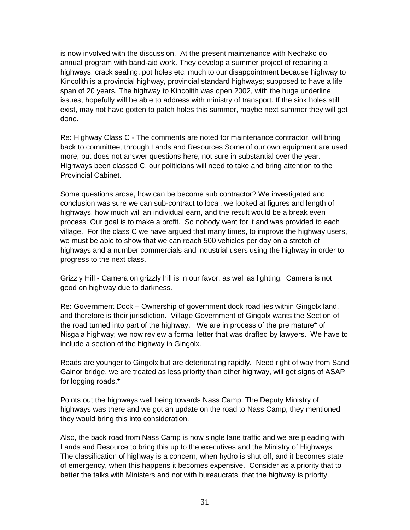is now involved with the discussion. At the present maintenance with Nechako do annual program with band-aid work. They develop a summer project of repairing a highways, crack sealing, pot holes etc. much to our disappointment because highway to Kincolith is a provincial highway, provincial standard highways; supposed to have a life span of 20 years. The highway to Kincolith was open 2002, with the huge underline issues, hopefully will be able to address with ministry of transport. If the sink holes still exist, may not have gotten to patch holes this summer, maybe next summer they will get done.

Re: Highway Class C - The comments are noted for maintenance contractor, will bring back to committee, through Lands and Resources Some of our own equipment are used more, but does not answer questions here, not sure in substantial over the year. Highways been classed C, our politicians will need to take and bring attention to the Provincial Cabinet.

Some questions arose, how can be become sub contractor? We investigated and conclusion was sure we can sub-contract to local, we looked at figures and length of highways, how much will an individual earn, and the result would be a break even process. Our goal is to make a profit. So nobody went for it and was provided to each village. For the class C we have argued that many times, to improve the highway users, we must be able to show that we can reach 500 vehicles per day on a stretch of highways and a number commercials and industrial users using the highway in order to progress to the next class.

Grizzly Hill - Camera on grizzly hill is in our favor, as well as lighting. Camera is not good on highway due to darkness.

Re: Government Dock – Ownership of government dock road lies within Gingolx land, and therefore is their jurisdiction. Village Government of Gingolx wants the Section of the road turned into part of the highway. We are in process of the pre mature\* of Nisga"a highway; we now review a formal letter that was drafted by lawyers. We have to include a section of the highway in Gingolx.

Roads are younger to Gingolx but are deteriorating rapidly. Need right of way from Sand Gainor bridge, we are treated as less priority than other highway, will get signs of ASAP for logging roads.\*

Points out the highways well being towards Nass Camp. The Deputy Ministry of highways was there and we got an update on the road to Nass Camp, they mentioned they would bring this into consideration.

Also, the back road from Nass Camp is now single lane traffic and we are pleading with Lands and Resource to bring this up to the executives and the Ministry of Highways. The classification of highway is a concern, when hydro is shut off, and it becomes state of emergency, when this happens it becomes expensive. Consider as a priority that to better the talks with Ministers and not with bureaucrats, that the highway is priority.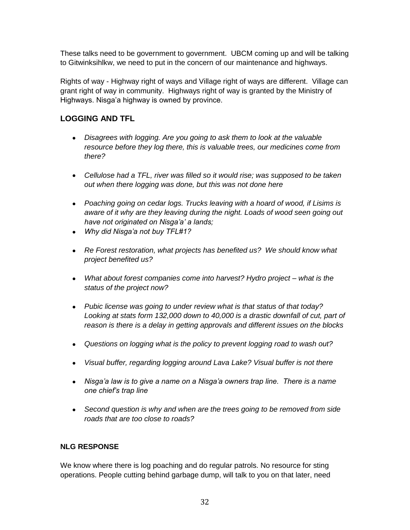These talks need to be government to government. UBCM coming up and will be talking to Gitwinksihlkw, we need to put in the concern of our maintenance and highways.

Rights of way - Highway right of ways and Village right of ways are different. Village can grant right of way in community. Highways right of way is granted by the Ministry of Highways. Nisga'a highway is owned by province.

# **LOGGING AND TFL**

- *Disagrees with logging. Are you going to ask them to look at the valuable resource before they log there, this is valuable trees, our medicines come from there?*
- *Cellulose had a TFL, river was filled so it would rise; was supposed to be taken out when there logging was done, but this was not done here*
- *Poaching going on cedar logs. Trucks leaving with a hoard of wood, if Lisims is aware of it why are they leaving during the night. Loads of wood seen going out have not originated on Nisga"a" a lands;*
- *Why did Nisga"a not buy TFL#1?*
- *Re Forest restoration, what projects has benefited us? We should know what project benefited us?*
- *What about forest companies come into harvest? Hydro project – what is the status of the project now?*
- *Pubic license was going to under review what is that status of that today?*  Looking at stats form 132,000 down to 40,000 is a drastic downfall of cut, part of *reason is there is a delay in getting approvals and different issues on the blocks*
- *Questions on logging what is the policy to prevent logging road to wash out?*
- *Visual buffer, regarding logging around Lava Lake? Visual buffer is not there*
- *Nisga"a law is to give a name on a Nisga"a owners trap line. There is a name one chief"s trap line*
- *Second question is why and when are the trees going to be removed from side roads that are too close to roads?*

## **NLG RESPONSE**

We know where there is log poaching and do regular patrols. No resource for sting operations. People cutting behind garbage dump, will talk to you on that later, need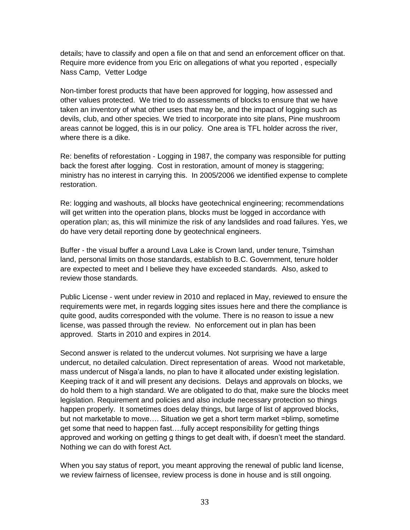details; have to classify and open a file on that and send an enforcement officer on that. Require more evidence from you Eric on allegations of what you reported , especially Nass Camp, Vetter Lodge

Non-timber forest products that have been approved for logging, how assessed and other values protected. We tried to do assessments of blocks to ensure that we have taken an inventory of what other uses that may be, and the impact of logging such as devils, club, and other species. We tried to incorporate into site plans, Pine mushroom areas cannot be logged, this is in our policy. One area is TFL holder across the river, where there is a dike.

Re: benefits of reforestation - Logging in 1987, the company was responsible for putting back the forest after logging. Cost in restoration, amount of money is staggering; ministry has no interest in carrying this. In 2005/2006 we identified expense to complete restoration.

Re: logging and washouts, all blocks have geotechnical engineering; recommendations will get written into the operation plans, blocks must be logged in accordance with operation plan; as, this will minimize the risk of any landslides and road failures. Yes, we do have very detail reporting done by geotechnical engineers.

Buffer - the visual buffer a around Lava Lake is Crown land, under tenure, Tsimshan land, personal limits on those standards, establish to B.C. Government, tenure holder are expected to meet and I believe they have exceeded standards. Also, asked to review those standards.

Public License - went under review in 2010 and replaced in May, reviewed to ensure the requirements were met, in regards logging sites issues here and there the compliance is quite good, audits corresponded with the volume. There is no reason to issue a new license, was passed through the review. No enforcement out in plan has been approved. Starts in 2010 and expires in 2014.

Second answer is related to the undercut volumes. Not surprising we have a large undercut, no detailed calculation. Direct representation of areas. Wood not marketable, mass undercut of Nisga'a lands, no plan to have it allocated under existing legislation. Keeping track of it and will present any decisions. Delays and approvals on blocks, we do hold them to a high standard. We are obligated to do that, make sure the blocks meet legislation. Requirement and policies and also include necessary protection so things happen properly. It sometimes does delay things, but large of list of approved blocks, but not marketable to move…. Situation we get a short term market =blimp, sometime get some that need to happen fast….fully accept responsibility for getting things approved and working on getting g things to get dealt with, if doesn"t meet the standard. Nothing we can do with forest Act.

When you say status of report, you meant approving the renewal of public land license, we review fairness of licensee, review process is done in house and is still ongoing.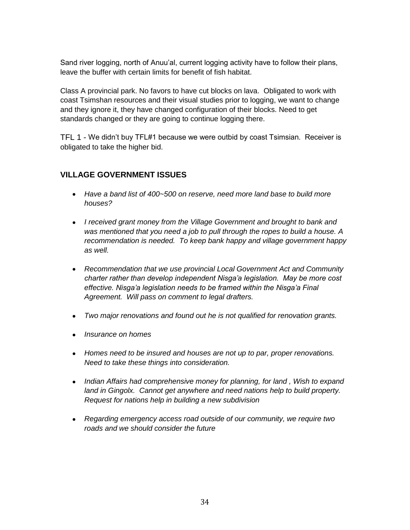Sand river logging, north of Anuu"al, current logging activity have to follow their plans, leave the buffer with certain limits for benefit of fish habitat.

Class A provincial park. No favors to have cut blocks on lava. Obligated to work with coast Tsimshan resources and their visual studies prior to logging, we want to change and they ignore it, they have changed configuration of their blocks. Need to get standards changed or they are going to continue logging there.

TFL 1 - We didn"t buy TFL#1 because we were outbid by coast Tsimsian. Receiver is obligated to take the higher bid.

# **VILLAGE GOVERNMENT ISSUES**

- *Have a band list of 400~500 on reserve, need more land base to build more houses?*
- *I received grant money from the Village Government and brought to bank and was mentioned that you need a job to pull through the ropes to build a house. A recommendation is needed. To keep bank happy and village government happy as well.*
- *Recommendation that we use provincial Local Government Act and Community charter rather than develop independent Nisga"a legislation. May be more cost effective. Nisga"a legislation needs to be framed within the Nisga"a Final Agreement. Will pass on comment to legal drafters.*
- *Two major renovations and found out he is not qualified for renovation grants.*
- *Insurance on homes*
- *Homes need to be insured and houses are not up to par, proper renovations. Need to take these things into consideration.*
- *Indian Affairs had comprehensive money for planning, for land , Wish to expand*  land in Gingolx. Cannot get anywhere and need nations help to build property. *Request for nations help in building a new subdivision*
- *Regarding emergency access road outside of our community, we require two roads and we should consider the future*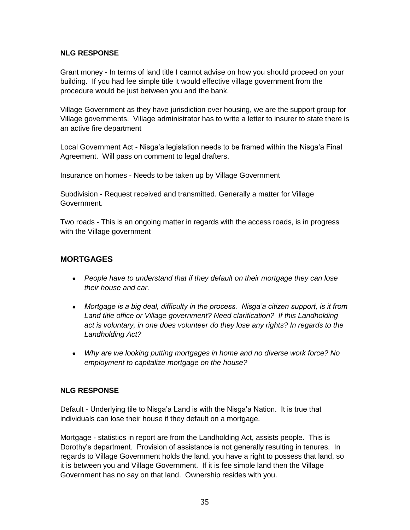Grant money - In terms of land title I cannot advise on how you should proceed on your building. If you had fee simple title it would effective village government from the procedure would be just between you and the bank.

Village Government as they have jurisdiction over housing, we are the support group for Village governments. Village administrator has to write a letter to insurer to state there is an active fire department

Local Government Act - Nisga'a legislation needs to be framed within the Nisga'a Final Agreement. Will pass on comment to legal drafters.

Insurance on homes - Needs to be taken up by Village Government

Subdivision - Request received and transmitted. Generally a matter for Village Government.

Two roads - This is an ongoing matter in regards with the access roads, is in progress with the Village government

# **MORTGAGES**

- *People have to understand that if they default on their mortgage they can lose their house and car.*
- Mortgage is a big deal, difficulty in the process. Nisga'a citizen support, is it from *Land title office or Village government? Need clarification? If this Landholding act is voluntary, in one does volunteer do they lose any rights? In regards to the Landholding Act?*
- *Why are we looking putting mortgages in home and no diverse work force? No employment to capitalize mortgage on the house?*

#### **NLG RESPONSE**

Default - Underlying tile to Nisga'a Land is with the Nisga'a Nation. It is true that individuals can lose their house if they default on a mortgage.

Mortgage - statistics in report are from the Landholding Act, assists people. This is Dorothy"s department. Provision of assistance is not generally resulting in tenures. In regards to Village Government holds the land, you have a right to possess that land, so it is between you and Village Government. If it is fee simple land then the Village Government has no say on that land. Ownership resides with you.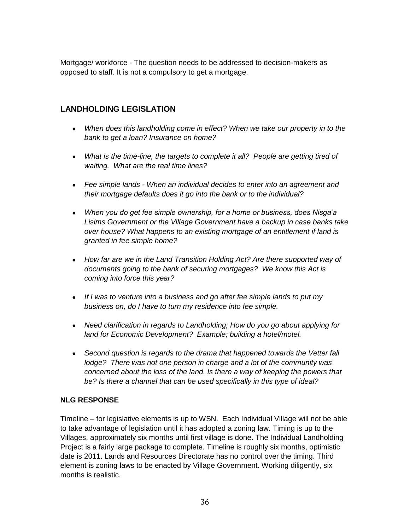Mortgage/ workforce - The question needs to be addressed to decision-makers as opposed to staff. It is not a compulsory to get a mortgage.

# **LANDHOLDING LEGISLATION**

- *When does this landholding come in effect? When we take our property in to the bank to get a loan? Insurance on home?*
- What is the time-line, the targets to complete it all? People are getting tired of *waiting. What are the real time lines?*
- *Fee simple lands - When an individual decides to enter into an agreement and their mortgage defaults does it go into the bank or to the individual?*
- *When you do get fee simple ownership, for a home or business, does Nisga"a Lisims Government or the Village Government have a backup in case banks take over house? What happens to an existing mortgage of an entitlement if land is granted in fee simple home?*
- *How far are we in the Land Transition Holding Act? Are there supported way of documents going to the bank of securing mortgages? We know this Act is coming into force this year?*
- *If I was to venture into a business and go after fee simple lands to put my business on, do I have to turn my residence into fee simple.*
- *Need clarification in regards to Landholding; How do you go about applying for land for Economic Development? Example; building a hotel/motel.*
- *Second question is regards to the drama that happened towards the Vetter fall lodge? There was not one person in charge and a lot of the community was concerned about the loss of the land. Is there a way of keeping the powers that be? Is there a channel that can be used specifically in this type of ideal?*

#### **NLG RESPONSE**

Timeline – for legislative elements is up to WSN. Each Individual Village will not be able to take advantage of legislation until it has adopted a zoning law. Timing is up to the Villages, approximately six months until first village is done. The Individual Landholding Project is a fairly large package to complete. Timeline is roughly six months, optimistic date is 2011. Lands and Resources Directorate has no control over the timing. Third element is zoning laws to be enacted by Village Government. Working diligently, six months is realistic.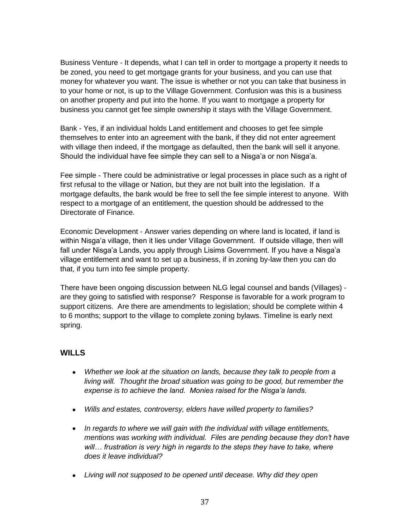Business Venture - It depends, what I can tell in order to mortgage a property it needs to be zoned, you need to get mortgage grants for your business, and you can use that money for whatever you want. The issue is whether or not you can take that business in to your home or not, is up to the Village Government. Confusion was this is a business on another property and put into the home. If you want to mortgage a property for business you cannot get fee simple ownership it stays with the Village Government.

Bank - Yes, if an individual holds Land entitlement and chooses to get fee simple themselves to enter into an agreement with the bank, if they did not enter agreement with village then indeed, if the mortgage as defaulted, then the bank will sell it anyone. Should the individual have fee simple they can sell to a Nisga"a or non Nisga"a.

Fee simple - There could be administrative or legal processes in place such as a right of first refusal to the village or Nation, but they are not built into the legislation. If a mortgage defaults, the bank would be free to sell the fee simple interest to anyone. With respect to a mortgage of an entitlement, the question should be addressed to the Directorate of Finance.

Economic Development - Answer varies depending on where land is located, if land is within Nisga"a village, then it lies under Village Government. If outside village, then will fall under Nisga'a Lands, you apply through Lisims Government. If you have a Nisga'a village entitlement and want to set up a business, if in zoning by-law then you can do that, if you turn into fee simple property.

There have been ongoing discussion between NLG legal counsel and bands (Villages) are they going to satisfied with response? Response is favorable for a work program to support citizens. Are there are amendments to legislation; should be complete within 4 to 6 months; support to the village to complete zoning bylaws. Timeline is early next spring.

### **WILLS**

- Whether we look at the situation on lands, because they talk to people from a *living will. Thought the broad situation was going to be good, but remember the expense is to achieve the land. Monies raised for the Nisga"a lands.*
- *Wills and estates, controversy, elders have willed property to families?*
- *In regards to where we will gain with the individual with village entitlements, mentions was working with individual. Files are pending because they don"t have will… frustration is very high in regards to the steps they have to take, where does it leave individual?*
- *Living will not supposed to be opened until decease. Why did they open*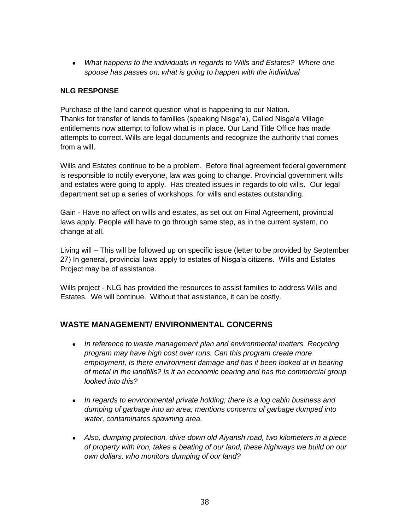*What happens to the individuals in regards to Wills and Estates? Where one spouse has passes on; what is going to happen with the individual*

#### **NLG RESPONSE**

Purchase of the land cannot question what is happening to our Nation. Thanks for transfer of lands to families (speaking Nisga"a), Called Nisga"a Village entitlements now attempt to follow what is in place. Our Land Title Office has made attempts to correct. Wills are legal documents and recognize the authority that comes from a will.

Wills and Estates continue to be a problem. Before final agreement federal government is responsible to notify everyone, law was going to change. Provincial government wills and estates were going to apply. Has created issues in regards to old wills. Our legal department set up a series of workshops, for wills and estates outstanding.

Gain - Have no affect on wills and estates, as set out on Final Agreement, provincial laws apply. People will have to go through same step, as in the current system, no change at all.

Living will – This will be followed up on specific issue (letter to be provided by September 27) In general, provincial laws apply to estates of Nisga"a citizens. Wills and Estates Project may be of assistance.

Wills project - NLG has provided the resources to assist families to address Wills and Estates. We will continue. Without that assistance, it can be costly.

### **WASTE MANAGEMENT/ ENVIRONMENTAL CONCERNS**

- *In reference to waste management plan and environmental matters. Recycling program may have high cost over runs. Can this program create more employment, Is there environment damage and has it been looked at in bearing of metal in the landfills? Is it an economic bearing and has the commercial group looked into this?*
- *In regards to environmental private holding; there is a log cabin business and dumping of garbage into an area; mentions concerns of garbage dumped into water, contaminates spawning area.*
- *Also, dumping protection, drive down old Aiyansh road, two kilometers in a piece of property with iron, takes a beating of our land, these highways we build on our own dollars, who monitors dumping of our land?*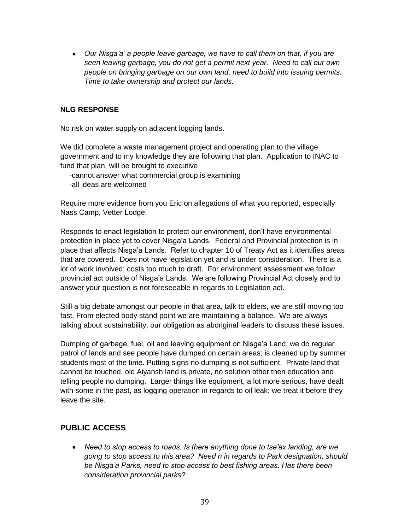*Our Nisga"a" a people leave garbage, we have to call them on that, if you are seen leaving garbage, you do not get a permit next year. Need to call our own people on bringing garbage on our own land, need to build into issuing permits. Time to take ownership and protect our lands.*

#### **NLG RESPONSE**

No risk on water supply on adjacent logging lands.

We did complete a waste management project and operating plan to the village government and to my knowledge they are following that plan. Application to INAC to fund that plan, will be brought to executive

-cannot answer what commercial group is examining -all ideas are welcomed

Require more evidence from you Eric on allegations of what you reported, especially Nass Camp, Vetter Lodge.

Responds to enact legislation to protect our environment, don"t have environmental protection in place yet to cover Nisga"a Lands. Federal and Provincial protection is in place that affects Nisga"a Lands. Refer to chapter 10 of Treaty Act as it identifies areas that are covered. Does not have legislation yet and is under consideration. There is a lot of work involved; costs too much to draft. For environment assessment we follow provincial act outside of Nisga"a Lands. We are following Provincial Act closely and to answer your question is not foreseeable in regards to Legislation act.

Still a big debate amongst our people in that area, talk to elders, we are still moving too fast. From elected body stand point we are maintaining a balance. We are always talking about sustainability, our obligation as aboriginal leaders to discuss these issues.

Dumping of garbage, fuel, oil and leaving equipment on Nisga"a Land, we do regular patrol of lands and see people have dumped on certain areas; is cleaned up by summer students most of the time. Putting signs no dumping is not sufficient. Private land that cannot be touched, old Aiyansh land is private, no solution other then education and telling people no dumping. Larger things like equipment, a lot more serious, have dealt with some in the past, as logging operation in regards to oil leak; we treat it before they leave the site.

# **PUBLIC ACCESS**

 *Need to stop access to roads. Is there anything done to tse"ax landing, are we going to stop access to this area? Need n in regards to Park designation, should be Nisga"a Parks, need to stop access to best fishing areas. Has there been consideration provincial parks?*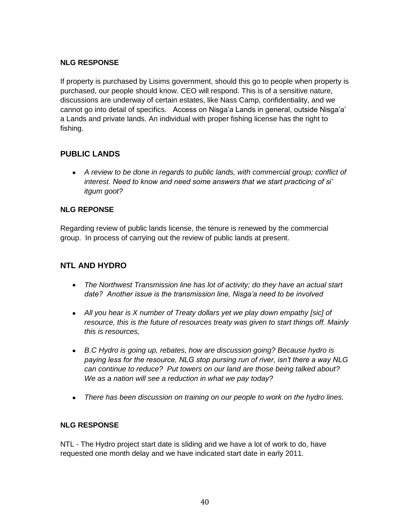If property is purchased by Lisims government, should this go to people when property is purchased, our people should know. CEO will respond. This is of a sensitive nature, discussions are underway of certain estates, like Nass Camp, confidentiality, and we cannot go into detail of specifics. Access on Nisga"a Lands in general, outside Nisga"a" a Lands and private lands. An individual with proper fishing license has the right to fishing.

# **PUBLIC LANDS**

 *A review to be done in regards to public lands, with commercial group; conflict of interest. Need to know and need some answers that we start practicing of si" itgum goot?*

### **NLG REPONSE**

Regarding review of public lands license, the tenure is renewed by the commercial group. In process of carrying out the review of public lands at present.

# **NTL AND HYDRO**

- *The Northwest Transmission line has lot of activity; do they have an actual start date? Another issue is the transmission line, Nisga"a need to be involved*
- *All you hear is X number of Treaty dollars yet we play down empathy [sic] of resource, this is the future of resources treaty was given to start things off. Mainly this is resources,*
- **B.C Hydro is going up, rebates, how are discussion going? Because hydro is** *paying less for the resource, NLG stop pursing run of river, isn"t there a way NLG can continue to reduce? Put towers on our land are those being talked about? We as a nation will see a reduction in what we pay today?*
- *There has been discussion on training on our people to work on the hydro lines.*

### **NLG RESPONSE**

NTL - The Hydro project start date is sliding and we have a lot of work to do, have requested one month delay and we have indicated start date in early 2011.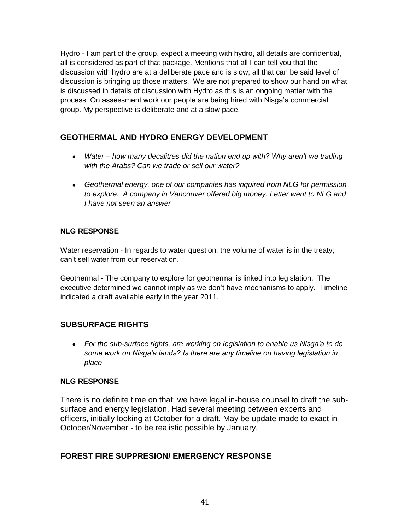Hydro - I am part of the group, expect a meeting with hydro, all details are confidential, all is considered as part of that package. Mentions that all I can tell you that the discussion with hydro are at a deliberate pace and is slow; all that can be said level of discussion is bringing up those matters. We are not prepared to show our hand on what is discussed in details of discussion with Hydro as this is an ongoing matter with the process. On assessment work our people are being hired with Nisga"a commercial group. My perspective is deliberate and at a slow pace.

# **GEOTHERMAL AND HYDRO ENERGY DEVELOPMENT**

- *Water – how many decalitres did the nation end up with? Why aren"t we trading with the Arabs? Can we trade or sell our water?*
- *Geothermal energy, one of our companies has inquired from NLG for permission to explore. A company in Vancouver offered big money. Letter went to NLG and I have not seen an answer*

# **NLG RESPONSE**

Water reservation - In regards to water question, the volume of water is in the treaty; can"t sell water from our reservation.

Geothermal - The company to explore for geothermal is linked into legislation. The executive determined we cannot imply as we don"t have mechanisms to apply. Timeline indicated a draft available early in the year 2011.

# **SUBSURFACE RIGHTS**

 *For the sub-surface rights, are working on legislation to enable us Nisga"a to do some work on Nisga"a lands? Is there are any timeline on having legislation in place*

### **NLG RESPONSE**

There is no definite time on that; we have legal in-house counsel to draft the subsurface and energy legislation. Had several meeting between experts and officers, initially looking at October for a draft. May be update made to exact in October/November - to be realistic possible by January.

# **FOREST FIRE SUPPRESION/ EMERGENCY RESPONSE**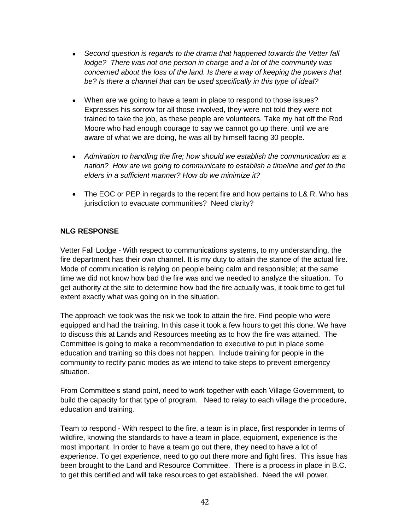- *Second question is regards to the drama that happened towards the Vetter fall lodge? There was not one person in charge and a lot of the community was concerned about the loss of the land. Is there a way of keeping the powers that be? Is there a channel that can be used specifically in this type of ideal?*
- When are we going to have a team in place to respond to those issues? Expresses his sorrow for all those involved, they were not told they were not trained to take the job, as these people are volunteers. Take my hat off the Rod Moore who had enough courage to say we cannot go up there, until we are aware of what we are doing, he was all by himself facing 30 people.
- *Admiration to handling the fire; how should we establish the communication as a nation? How are we going to communicate to establish a timeline and get to the elders in a sufficient manner? How do we minimize it?*
- The EOC or PEP in regards to the recent fire and how pertains to L& R. Who has jurisdiction to evacuate communities? Need clarity?

Vetter Fall Lodge - With respect to communications systems, to my understanding, the fire department has their own channel. It is my duty to attain the stance of the actual fire. Mode of communication is relying on people being calm and responsible; at the same time we did not know how bad the fire was and we needed to analyze the situation. To get authority at the site to determine how bad the fire actually was, it took time to get full extent exactly what was going on in the situation.

The approach we took was the risk we took to attain the fire. Find people who were equipped and had the training. In this case it took a few hours to get this done. We have to discuss this at Lands and Resources meeting as to how the fire was attained. The Committee is going to make a recommendation to executive to put in place some education and training so this does not happen. Include training for people in the community to rectify panic modes as we intend to take steps to prevent emergency situation.

From Committee"s stand point, need to work together with each Village Government, to build the capacity for that type of program. Need to relay to each village the procedure, education and training.

Team to respond - With respect to the fire, a team is in place, first responder in terms of wildfire, knowing the standards to have a team in place, equipment, experience is the most important. In order to have a team go out there, they need to have a lot of experience. To get experience, need to go out there more and fight fires. This issue has been brought to the Land and Resource Committee. There is a process in place in B.C. to get this certified and will take resources to get established. Need the will power,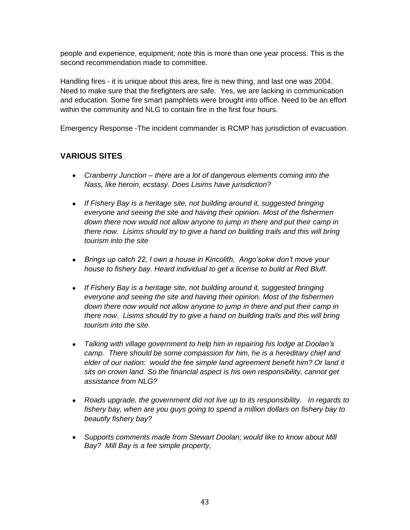people and experience, equipment; note this is more than one year process. This is the second recommendation made to committee.

Handling fires - it is unique about this area, fire is new thing, and last one was 2004. Need to make sure that the firefighters are safe. Yes, we are lacking in communication and education. Some fire smart pamphlets were brought into office. Need to be an effort within the community and NLG to contain fire in the first four hours.

Emergency Response -The incident commander is RCMP has jurisdiction of evacuation.

# **VARIOUS SITES**

- *Cranberry Junction – there are a lot of dangerous elements coming into the Nass, like heroin, ecstasy. Does Lisims have jurisdiction?*
- *If Fishery Bay is a heritage site, not building around it, suggested bringing everyone and seeing the site and having their opinion. Most of the fishermen down there now would not allow anyone to jump in there and put their camp in there now. Lisims should try to give a hand on building trails and this will bring tourism into the site*
- *Brings up catch 22, I own a house in Kincolith, Ango"sokw don"t move your house to fishery bay. Heard individual to get a license to build at Red Bluff.*
- *If Fishery Bay is a heritage site, not building around it, suggested bringing everyone and seeing the site and having their opinion. Most of the fishermen down there now would not allow anyone to jump in there and put their camp in there now. Lisims should try to give a hand on building trails and this will bring tourism into the site.*
- *Talking with village government to help him in repairing his lodge at Doolan"s camp. There should be some compassion for him, he is a hereditary chief and elder of our nation: would the fee simple land agreement benefit him? Or land it sits on crown land. So the financial aspect is his own responsibility, cannot get assistance from NLG?*
- *Roads upgrade, the government did not live up to its responsibility. In regards to fishery bay, when are you guys going to spend a million dollars on fishery bay to beautify fishery bay?*
- *Supports comments made from Stewart Doolan; would like to know about Mill Bay? Mill Bay is a fee simple property,*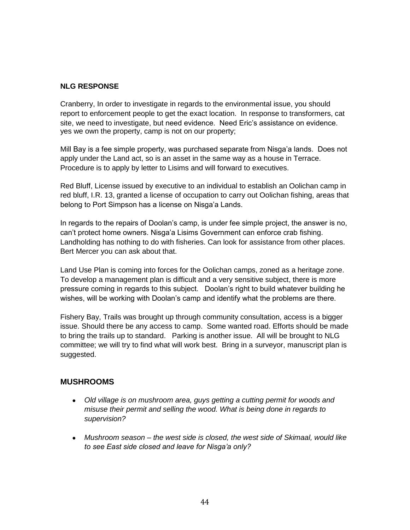Cranberry, In order to investigate in regards to the environmental issue, you should report to enforcement people to get the exact location. In response to transformers, cat site, we need to investigate, but need evidence. Need Eric"s assistance on evidence. yes we own the property, camp is not on our property;

Mill Bay is a fee simple property, was purchased separate from Nisga"a lands. Does not apply under the Land act, so is an asset in the same way as a house in Terrace. Procedure is to apply by letter to Lisims and will forward to executives.

Red Bluff, License issued by executive to an individual to establish an Oolichan camp in red bluff, I.R. 13, granted a license of occupation to carry out Oolichan fishing, areas that belong to Port Simpson has a license on Nisga'a Lands.

In regards to the repairs of Doolan"s camp, is under fee simple project, the answer is no, can"t protect home owners. Nisga"a Lisims Government can enforce crab fishing. Landholding has nothing to do with fisheries. Can look for assistance from other places. Bert Mercer you can ask about that.

Land Use Plan is coming into forces for the Oolichan camps, zoned as a heritage zone. To develop a management plan is difficult and a very sensitive subject, there is more pressure coming in regards to this subject. Doolan"s right to build whatever building he wishes, will be working with Doolan"s camp and identify what the problems are there.

Fishery Bay, Trails was brought up through community consultation, access is a bigger issue. Should there be any access to camp. Some wanted road. Efforts should be made to bring the trails up to standard. Parking is another issue. All will be brought to NLG committee; we will try to find what will work best. Bring in a surveyor, manuscript plan is suggested.

#### **MUSHROOMS**

- *Old village is on mushroom area, guys getting a cutting permit for woods and misuse their permit and selling the wood. What is being done in regards to supervision?*
- *Mushroom season – the west side is closed, the west side of Skimaal, would like to see East side closed and leave for Nisga"a only?*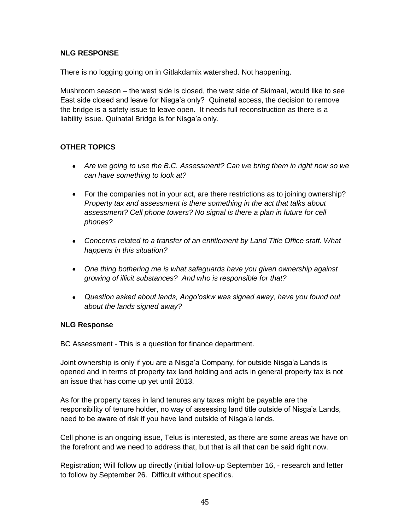There is no logging going on in Gitlakdamix watershed. Not happening.

Mushroom season – the west side is closed, the west side of Skimaal, would like to see East side closed and leave for Nisga"a only? Quinetal access, the decision to remove the bridge is a safety issue to leave open. It needs full reconstruction as there is a liability issue. Quinatal Bridge is for Nisga'a only.

#### **OTHER TOPICS**

- *Are we going to use the B.C. Assessment? Can we bring them in right now so we can have something to look at?*
- For the companies not in your act, are there restrictions as to joining ownership? *Property tax and assessment is there something in the act that talks about assessment? Cell phone towers? No signal is there a plan in future for cell phones?*
- *Concerns related to a transfer of an entitlement by Land Title Office staff. What happens in this situation?*
- *One thing bothering me is what safeguards have you given ownership against growing of illicit substances? And who is responsible for that?*
- *Question asked about lands, Ango"oskw was signed away, have you found out about the lands signed away?*

#### **NLG Response**

BC Assessment - This is a question for finance department.

Joint ownership is only if you are a Nisga"a Company, for outside Nisga"a Lands is opened and in terms of property tax land holding and acts in general property tax is not an issue that has come up yet until 2013.

As for the property taxes in land tenures any taxes might be payable are the responsibility of tenure holder, no way of assessing land title outside of Nisga"a Lands, need to be aware of risk if you have land outside of Nisga'a lands.

Cell phone is an ongoing issue, Telus is interested, as there are some areas we have on the forefront and we need to address that, but that is all that can be said right now.

Registration; Will follow up directly (initial follow-up September 16, - research and letter to follow by September 26. Difficult without specifics.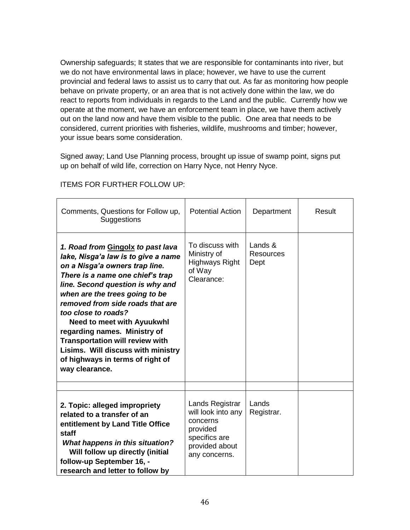Ownership safeguards; It states that we are responsible for contaminants into river, but we do not have environmental laws in place; however, we have to use the current provincial and federal laws to assist us to carry that out. As far as monitoring how people behave on private property, or an area that is not actively done within the law, we do react to reports from individuals in regards to the Land and the public. Currently how we operate at the moment, we have an enforcement team in place, we have them actively out on the land now and have them visible to the public. One area that needs to be considered, current priorities with fisheries, wildlife, mushrooms and timber; however, your issue bears some consideration.

Signed away; Land Use Planning process, brought up issue of swamp point, signs put up on behalf of wild life, correction on Harry Nyce, not Henry Nyce.

| Comments, Questions for Follow up,<br>Suggestions                                                                                                                                                                                                                                                                                                                                                                                                                                          | <b>Potential Action</b>                                                                                           | Department                   | Result |
|--------------------------------------------------------------------------------------------------------------------------------------------------------------------------------------------------------------------------------------------------------------------------------------------------------------------------------------------------------------------------------------------------------------------------------------------------------------------------------------------|-------------------------------------------------------------------------------------------------------------------|------------------------------|--------|
| 1. Road from Gingolx to past lava<br>lake, Nisga'a law is to give a name<br>on a Nisga'a owners trap line.<br>There is a name one chief's trap<br>line. Second question is why and<br>when are the trees going to be<br>removed from side roads that are<br>too close to roads?<br><b>Need to meet with Ayuukwhl</b><br>regarding names. Ministry of<br><b>Transportation will review with</b><br>Lisims. Will discuss with ministry<br>of highways in terms of right of<br>way clearance. | To discuss with<br>Ministry of<br><b>Highways Right</b><br>of Way<br>Clearance:                                   | Lands &<br>Resources<br>Dept |        |
|                                                                                                                                                                                                                                                                                                                                                                                                                                                                                            |                                                                                                                   |                              |        |
| 2. Topic: alleged impropriety<br>related to a transfer of an<br>entitlement by Land Title Office<br>staff<br><b>What happens in this situation?</b><br>Will follow up directly (initial<br>follow-up September 16, -<br>research and letter to follow by                                                                                                                                                                                                                                   | Lands Registrar<br>will look into any<br>concerns<br>provided<br>specifics are<br>provided about<br>any concerns. | Lands<br>Registrar.          |        |

ITEMS FOR FURTHER FOLLOW UP: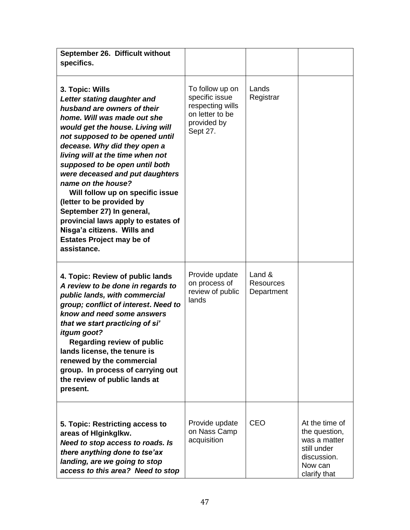| September 26. Difficult without<br>specifics.                                                                                                                                                                                                                                                                                                                                                                                                                                                                                                                             |                                                                                                     |                                             |                                                                                                          |
|---------------------------------------------------------------------------------------------------------------------------------------------------------------------------------------------------------------------------------------------------------------------------------------------------------------------------------------------------------------------------------------------------------------------------------------------------------------------------------------------------------------------------------------------------------------------------|-----------------------------------------------------------------------------------------------------|---------------------------------------------|----------------------------------------------------------------------------------------------------------|
| 3. Topic: Wills<br>Letter stating daughter and<br>husband are owners of their<br>home. Will was made out she<br>would get the house. Living will<br>not supposed to be opened until<br>decease. Why did they open a<br>living will at the time when not<br>supposed to be open until both<br>were deceased and put daughters<br>name on the house?<br>Will follow up on specific issue<br>(letter to be provided by<br>September 27) In general,<br>provincial laws apply to estates of<br>Nisga'a citizens. Wills and<br><b>Estates Project may be of</b><br>assistance. | To follow up on<br>specific issue<br>respecting wills<br>on letter to be<br>provided by<br>Sept 27. | Lands<br>Registrar                          |                                                                                                          |
| 4. Topic: Review of public lands<br>A review to be done in regards to<br>public lands, with commercial<br>group; conflict of interest. Need to<br>know and need some answers<br>that we start practicing of si'<br>itgum goot?<br><b>Regarding review of public</b><br>lands license, the tenure is<br>renewed by the commercial<br>group. In process of carrying out<br>the review of public lands at<br>present.                                                                                                                                                        | Provide update<br>on process of<br>review of public<br>lands                                        | Land $\&$<br><b>Resources</b><br>Department |                                                                                                          |
| 5. Topic: Restricting access to<br>areas of Higinkglkw.<br>Need to stop access to roads. Is<br>there anything done to tse'ax<br>landing, are we going to stop<br>access to this area? Need to stop                                                                                                                                                                                                                                                                                                                                                                        | Provide update<br>on Nass Camp<br>acquisition                                                       | <b>CEO</b>                                  | At the time of<br>the question,<br>was a matter<br>still under<br>discussion.<br>Now can<br>clarify that |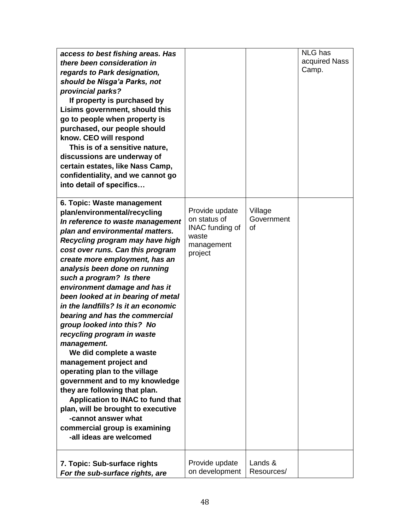| access to best fishing areas. Has<br>there been consideration in<br>regards to Park designation,<br>should be Nisga'a Parks, not<br>provincial parks?<br>If property is purchased by<br>Lisims government, should this<br>go to people when property is<br>purchased, our people should<br>know. CEO will respond<br>This is of a sensitive nature,<br>discussions are underway of<br>certain estates, like Nass Camp,<br>confidentiality, and we cannot go<br>into detail of specifics                                                                                                                                                                                                                                                                                                                                                                  |                                                                                            |                             | <b>NLG</b> has<br>acquired Nass<br>Camp. |
|----------------------------------------------------------------------------------------------------------------------------------------------------------------------------------------------------------------------------------------------------------------------------------------------------------------------------------------------------------------------------------------------------------------------------------------------------------------------------------------------------------------------------------------------------------------------------------------------------------------------------------------------------------------------------------------------------------------------------------------------------------------------------------------------------------------------------------------------------------|--------------------------------------------------------------------------------------------|-----------------------------|------------------------------------------|
| 6. Topic: Waste management<br>plan/environmental/recycling<br>In reference to waste management<br>plan and environmental matters.<br>Recycling program may have high<br>cost over runs. Can this program<br>create more employment, has an<br>analysis been done on running<br>such a program? Is there<br>environment damage and has it<br>been looked at in bearing of metal<br>in the landfills? Is it an economic<br>bearing and has the commercial<br>group looked into this? No<br>recycling program in waste<br>management.<br>We did complete a waste<br>management project and<br>operating plan to the village<br>government and to my knowledge<br>they are following that plan.<br>Application to INAC to fund that<br>plan, will be brought to executive<br>-cannot answer what<br>commercial group is examining<br>-all ideas are welcomed | Provide update<br>on status of<br><b>INAC</b> funding of<br>waste<br>management<br>project | Village<br>Government<br>οf |                                          |
| 7. Topic: Sub-surface rights<br>For the sub-surface rights, are                                                                                                                                                                                                                                                                                                                                                                                                                                                                                                                                                                                                                                                                                                                                                                                          | Provide update<br>on development                                                           | Lands &<br>Resources/       |                                          |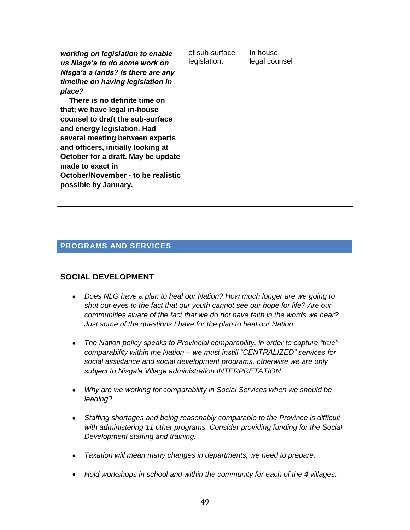| working on legislation to enable<br>us Nisga'a to do some work on<br>Nisga'a a lands? Is there are any<br>timeline on having legislation in<br>place?<br>There is no definite time on<br>that; we have legal in-house<br>counsel to draft the sub-surface<br>and energy legislation. Had<br>several meeting between experts<br>and officers, initially looking at<br>October for a draft. May be update<br>made to exact in<br>October/November - to be realistic<br>possible by January. | of sub-surface<br>legislation. | In house<br>legal counsel |  |
|-------------------------------------------------------------------------------------------------------------------------------------------------------------------------------------------------------------------------------------------------------------------------------------------------------------------------------------------------------------------------------------------------------------------------------------------------------------------------------------------|--------------------------------|---------------------------|--|
|                                                                                                                                                                                                                                                                                                                                                                                                                                                                                           |                                |                           |  |

# **PROGRAMS AND SERVICES**

### **SOCIAL DEVELOPMENT**

- *Does NLG have a plan to heal our Nation? How much longer are we going to shut our eyes to the fact that our youth cannot see our hope for life? Are our communities aware of the fact that we do not have faith in the words we hear? Just some of the questions I have for the plan to heal our Nation.*
- *The Nation policy speaks to Provincial comparability, in order to capture "true" comparability within the Nation – we must instill "CENTRALIZED" services for social assistance and social development programs, otherwise we are only subject to Nisga"a Village administration INTERPRETATION*
- *Why are we working for comparability in Social Services when we should be leading?*
- *Staffing shortages and being reasonably comparable to the Province is difficult with administering 11 other programs. Consider providing funding for the Social Development staffing and training.*
- *Taxation will mean many changes in departments; we need to prepare.*
- *Hold workshops in school and within the community for each of the 4 villages:*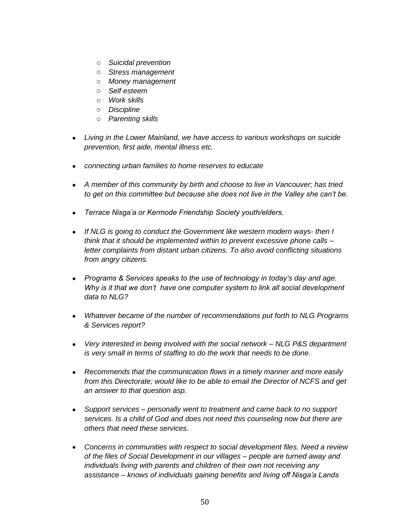- o *Suicidal prevention*
- o *Stress management*
- o *Money management*
- o *Self esteem*
- o *Work skills*
- o *Discipline*
- o *Parenting skills*
- *Living in the Lower Mainland, we have access to various workshops on suicide prevention, first aide, mental illness etc.*
- *connecting urban families to home reserves to educate*
- *A member of this community by birth and choose to live in Vancouver; has tried to get on this committee but because she does not live in the Valley she can"t be.*
- *Terrace Nisga"a or Kermode Friendship Society youth/elders.*
- *If NLG is going to conduct the Government like western modern ways- then I think that it should be implemented within to prevent excessive phone calls – letter complaints from distant urban citizens. To also avoid conflicting situations from angry citizens.*
- *Programs & Services speaks to the use of technology in today"s day and age. Why is it that we don"t have one computer system to link all social development data to NLG?*
- *Whatever became of the number of recommendations put forth to NLG Programs & Services report?*
- *Very interested in being involved with the social network – NLG P&S department is very small in terms of staffing to do the work that needs to be done.*
- *Recommends that the communication flows in a timely manner and more easily from this Directorate; would like to be able to email the Director of NCFS and get an answer to that question asp.*
- *Support services – personally went to treatment and came back to no support services. Is a child of God and does not need this counseling now but there are others that need these services.*
- *Concerns in communities with respect to social development files. Need a review of the files of Social Development in our villages – people are turned away and individuals living with parents and children of their own not receiving any assistance – knows of individuals gaining benefits and living off Nisga"a Lands*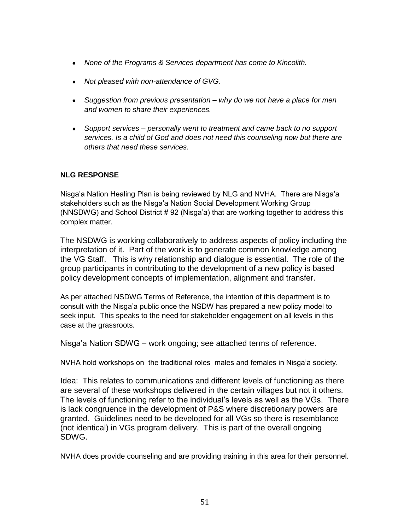- *None of the Programs & Services department has come to Kincolith.*
- *Not pleased with non-attendance of GVG.*
- *Suggestion from previous presentation – why do we not have a place for men and women to share their experiences.*
- *Support services – personally went to treatment and came back to no support services. Is a child of God and does not need this counseling now but there are others that need these services.*

Nisga"a Nation Healing Plan is being reviewed by NLG and NVHA. There are Nisga"a stakeholders such as the Nisga"a Nation Social Development Working Group (NNSDWG) and School District # 92 (Nisga"a) that are working together to address this complex matter.

The NSDWG is working collaboratively to address aspects of policy including the interpretation of it. Part of the work is to generate common knowledge among the VG Staff. This is why relationship and dialogue is essential. The role of the group participants in contributing to the development of a new policy is based policy development concepts of implementation, alignment and transfer.

As per attached NSDWG Terms of Reference, the intention of this department is to consult with the Nisga"a public once the NSDW has prepared a new policy model to seek input. This speaks to the need for stakeholder engagement on all levels in this case at the grassroots.

Nisga"a Nation SDWG – work ongoing; see attached terms of reference.

NVHA hold workshops on the traditional roles males and females in Nisga"a society.

Idea: This relates to communications and different levels of functioning as there are several of these workshops delivered in the certain villages but not it others. The levels of functioning refer to the individual"s levels as well as the VGs. There is lack congruence in the development of P&S where discretionary powers are granted. Guidelines need to be developed for all VGs so there is resemblance (not identical) in VGs program delivery. This is part of the overall ongoing SDWG.

NVHA does provide counseling and are providing training in this area for their personnel.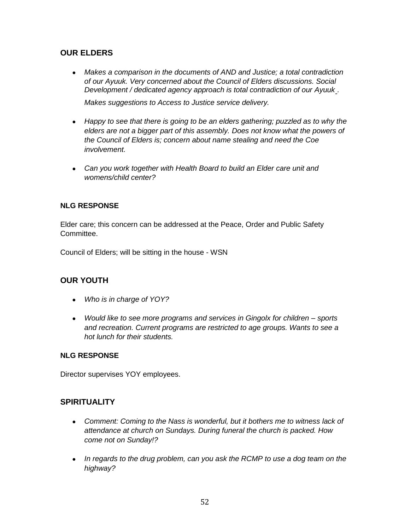# **OUR ELDERS**

 *Makes a comparison in the documents of AND and Justice; a total contradiction of our Ayuuk. Very concerned about the Council of Elders discussions. Social Development / dedicated agency approach is total contradiction of our Ayuuk - .* 

*Makes suggestions to Access to Justice service delivery.*

- *Happy to see that there is going to be an elders gathering; puzzled as to why the elders are not a bigger part of this assembly. Does not know what the powers of the Council of Elders is; concern about name stealing and need the Coe involvement.*
- *Can you work together with Health Board to build an Elder care unit and womens/child center?*

### **NLG RESPONSE**

Elder care; this concern can be addressed at the Peace, Order and Public Safety Committee.

Council of Elders; will be sitting in the house - WSN

### **OUR YOUTH**

- *Who is in charge of YOY?*
- *Would like to see more programs and services in Gingolx for children – sports and recreation. Current programs are restricted to age groups. Wants to see a hot lunch for their students.*

#### **NLG RESPONSE**

Director supervises YOY employees.

### **SPIRITUALITY**

- Comment: Coming to the Nass is wonderful, but it bothers me to witness lack of *attendance at church on Sundays. During funeral the church is packed. How come not on Sunday!?*
- *In regards to the drug problem, can you ask the RCMP to use a dog team on the highway?*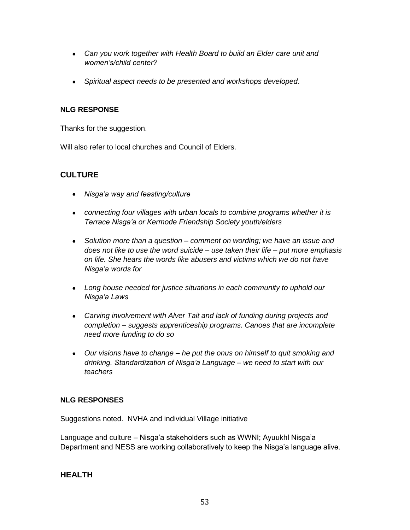- *Can you work together with Health Board to build an Elder care unit and women"s/child center?*
- *Spiritual aspect needs to be presented and workshops developed*.

Thanks for the suggestion.

Will also refer to local churches and Council of Elders.

# **CULTURE**

- *Nisga"a way and feasting/culture*
- *connecting four villages with urban locals to combine programs whether it is Terrace Nisga"a or Kermode Friendship Society youth/elders*
- *Solution more than a question – comment on wording; we have an issue and does not like to use the word suicide – use taken their life – put more emphasis on life. She hears the words like abusers and victims which we do not have Nisga"a words for*
- *Long house needed for justice situations in each community to uphold our Nisga"a Laws*
- *Carving involvement with Alver Tait and lack of funding during projects and completion – suggests apprenticeship programs. Canoes that are incomplete need more funding to do so*
- *Our visions have to change – he put the onus on himself to quit smoking and drinking. Standardization of Nisga"a Language – we need to start with our teachers*

### **NLG RESPONSES**

Suggestions noted. NVHA and individual Village initiative

Language and culture – Nisga'a stakeholders such as WWNI; Ayuukhl Nisga'a Department and NESS are working collaboratively to keep the Nisga"a language alive.

### **HEALTH**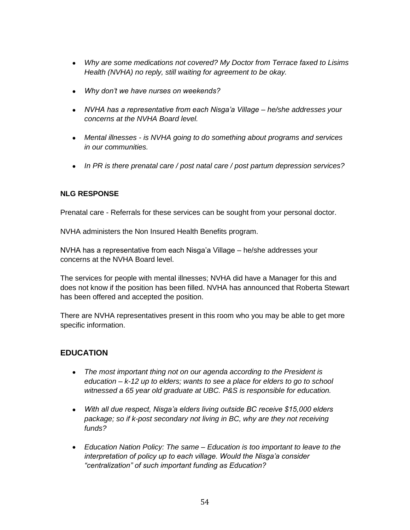- *Why are some medications not covered? My Doctor from Terrace faxed to Lisims Health (NVHA) no reply, still waiting for agreement to be okay.*
- *Why don"t we have nurses on weekends?*
- *NVHA has a representative from each Nisga"a Village – he/she addresses your concerns at the NVHA Board level.*
- *Mental illnesses - is NVHA going to do something about programs and services in our communities.*
- *In PR is there prenatal care / post natal care / post partum depression services?*

Prenatal care - Referrals for these services can be sought from your personal doctor.

NVHA administers the Non Insured Health Benefits program.

NVHA has a representative from each Nisga"a Village – he/she addresses your concerns at the NVHA Board level.

The services for people with mental illnesses; NVHA did have a Manager for this and does not know if the position has been filled. NVHA has announced that Roberta Stewart has been offered and accepted the position.

There are NVHA representatives present in this room who you may be able to get more specific information.

# **EDUCATION**

- *The most important thing not on our agenda according to the President is education – k-12 up to elders; wants to see a place for elders to go to school witnessed a 65 year old graduate at UBC. P&S is responsible for education.*
- *With all due respect, Nisga"a elders living outside BC receive \$15,000 elders package; so if k-post secondary not living in BC, why are they not receiving funds?*
- *Education Nation Policy: The same – Education is too important to leave to the interpretation of policy up to each village. Would the Nisga"a consider "centralization" of such important funding as Education?*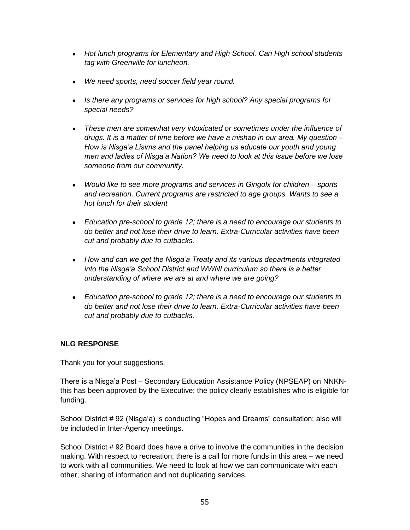- *Hot lunch programs for Elementary and High School. Can High school students tag with Greenville for luncheon.*
- *We need sports, need soccer field year round.*
- *Is there any programs or services for high school? Any special programs for special needs?*
- *These men are somewhat very intoxicated or sometimes under the influence of drugs. It is a matter of time before we have a mishap in our area. My question – How is Nisga"a Lisims and the panel helping us educate our youth and young men and ladies of Nisga"a Nation? We need to look at this issue before we lose someone from our community.*
- *Would like to see more programs and services in Gingolx for children – sports and recreation. Current programs are restricted to age groups. Wants to see a hot lunch for their student*
- *Education pre-school to grade 12; there is a need to encourage our students to do better and not lose their drive to learn. Extra-Curricular activities have been cut and probably due to cutbacks.*
- *How and can we get the Nisga"a Treaty and its various departments integrated into the Nisga"a School District and WWNI curriculum so there is a better understanding of where we are at and where we are going?*
- *Education pre-school to grade 12; there is a need to encourage our students to do better and not lose their drive to learn. Extra-Curricular activities have been cut and probably due to cutbacks.*

Thank you for your suggestions.

There is a Nisga"a Post – Secondary Education Assistance Policy (NPSEAP) on NNKNthis has been approved by the Executive; the policy clearly establishes who is eligible for funding.

School District # 92 (Nisga"a) is conducting "Hopes and Dreams" consultation; also will be included in Inter-Agency meetings.

School District # 92 Board does have a drive to involve the communities in the decision making. With respect to recreation; there is a call for more funds in this area – we need to work with all communities. We need to look at how we can communicate with each other; sharing of information and not duplicating services.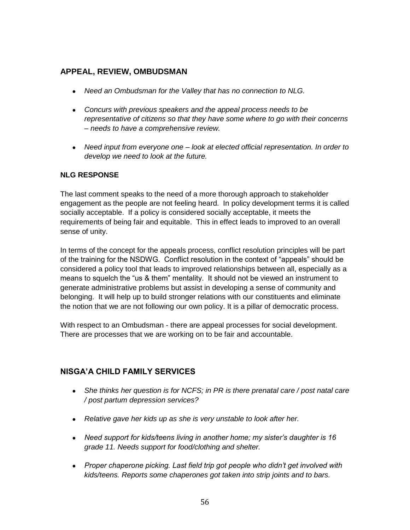# **APPEAL, REVIEW, OMBUDSMAN**

- *Need an Ombudsman for the Valley that has no connection to NLG.*
- *Concurs with previous speakers and the appeal process needs to be representative of citizens so that they have some where to go with their concerns – needs to have a comprehensive review.*
- *Need input from everyone one – look at elected official representation. In order to develop we need to look at the future.*

### **NLG RESPONSE**

The last comment speaks to the need of a more thorough approach to stakeholder engagement as the people are not feeling heard. In policy development terms it is called socially acceptable. If a policy is considered socially acceptable, it meets the requirements of being fair and equitable. This in effect leads to improved to an overall sense of unity.

In terms of the concept for the appeals process, conflict resolution principles will be part of the training for the NSDWG. Conflict resolution in the context of "appeals" should be considered a policy tool that leads to improved relationships between all, especially as a means to squelch the "us & them" mentality. It should not be viewed an instrument to generate administrative problems but assist in developing a sense of community and belonging. It will help up to build stronger relations with our constituents and eliminate the notion that we are not following our own policy. It is a pillar of democratic process.

With respect to an Ombudsman - there are appeal processes for social development. There are processes that we are working on to be fair and accountable.

### **NISGA'A CHILD FAMILY SERVICES**

- She thinks her question is for NCFS; in PR is there prenatal care / post natal care */ post partum depression services?*
- *Relative gave her kids up as she is very unstable to look after her.*
- *Need support for kids/teens living in another home; my sister"s daughter is 16 grade 11. Needs support for food/clothing and shelter.*
- *Proper chaperone picking. Last field trip got people who didn"t get involved with kids/teens. Reports some chaperones got taken into strip joints and to bars.*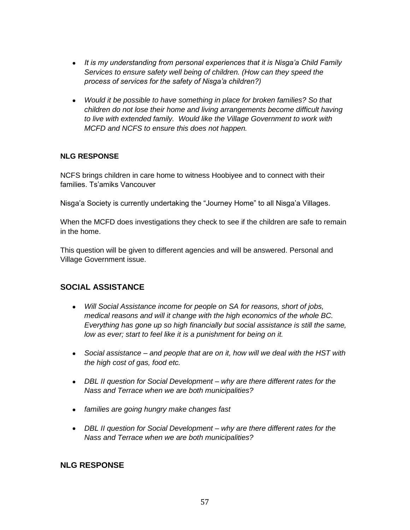- *It is my understanding from personal experiences that it is Nisga"a Child Family Services to ensure safety well being of children. (How can they speed the process of services for the safety of Nisga"a children?)*
- *Would it be possible to have something in place for broken families? So that children do not lose their home and living arrangements become difficult having to live with extended family. Would like the Village Government to work with MCFD and NCFS to ensure this does not happen.*

NCFS brings children in care home to witness Hoobiyee and to connect with their families. Ts'amiks Vancouver

Nisga"a Society is currently undertaking the "Journey Home" to all Nisga"a Villages.

When the MCFD does investigations they check to see if the children are safe to remain in the home.

This question will be given to different agencies and will be answered. Personal and Village Government issue.

### **SOCIAL ASSISTANCE**

- *Will Social Assistance income for people on SA for reasons, short of jobs, medical reasons and will it change with the high economics of the whole BC. Everything has gone up so high financially but social assistance is still the same, low as ever; start to feel like it is a punishment for being on it.*
- *Social assistance – and people that are on it, how will we deal with the HST with the high cost of gas, food etc.*
- *DBL II question for Social Development – why are there different rates for the Nass and Terrace when we are both municipalities?*
- *families are going hungry make changes fast*
- *DBL II question for Social Development – why are there different rates for the Nass and Terrace when we are both municipalities?*

### **NLG RESPONSE**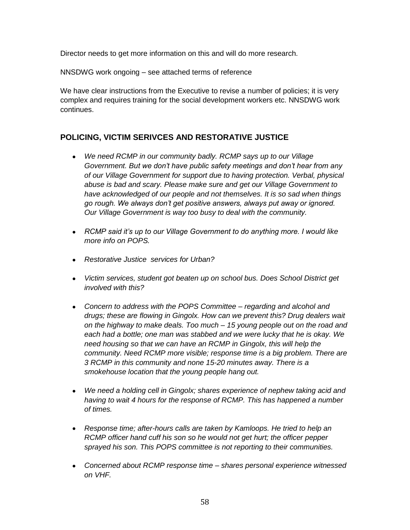Director needs to get more information on this and will do more research.

NNSDWG work ongoing – see attached terms of reference

We have clear instructions from the Executive to revise a number of policies; it is very complex and requires training for the social development workers etc. NNSDWG work continues.

# **POLICING, VICTIM SERIVCES AND RESTORATIVE JUSTICE**

- *We need RCMP in our community badly. RCMP says up to our Village Government. But we don"t have public safety meetings and don"t hear from any of our Village Government for support due to having protection. Verbal, physical abuse is bad and scary. Please make sure and get our Village Government to have acknowledged of our people and not themselves. It is so sad when things go rough. We always don"t get positive answers, always put away or ignored. Our Village Government is way too busy to deal with the community.*
- *RCMP said it"s up to our Village Government to do anything more. I would like more info on POPS.*
- *Restorative Justice services for Urban?*
- *Victim services, student got beaten up on school bus. Does School District get involved with this?*
- *Concern to address with the POPS Committee – regarding and alcohol and drugs; these are flowing in Gingolx. How can we prevent this? Drug dealers wait on the highway to make deals. Too much – 15 young people out on the road and each had a bottle; one man was stabbed and we were lucky that he is okay. We need housing so that we can have an RCMP in Gingolx, this will help the community. Need RCMP more visible; response time is a big problem. There are 3 RCMP in this community and none 15-20 minutes away. There is a smokehouse location that the young people hang out.*
- *We need a holding cell in Gingolx; shares experience of nephew taking acid and having to wait 4 hours for the response of RCMP. This has happened a number of times.*
- *Response time; after-hours calls are taken by Kamloops. He tried to help an RCMP officer hand cuff his son so he would not get hurt; the officer pepper sprayed his son. This POPS committee is not reporting to their communities.*
- *Concerned about RCMP response time – shares personal experience witnessed on VHF.*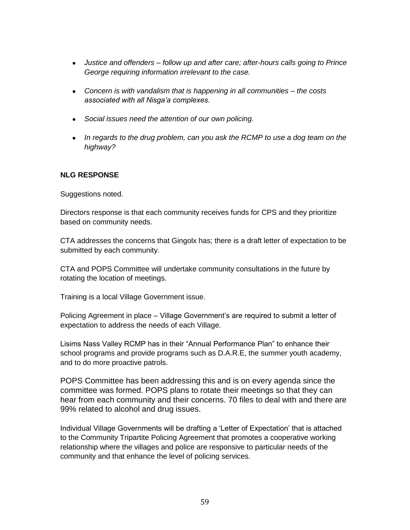- *Justice and offenders – follow up and after care; after-hours calls going to Prince George requiring information irrelevant to the case.*
- *Concern is with vandalism that is happening in all communities – the costs associated with all Nisga"a complexes.*
- *Social issues need the attention of our own policing.*
- *In regards to the drug problem, can you ask the RCMP to use a dog team on the highway?*

Suggestions noted.

Directors response is that each community receives funds for CPS and they prioritize based on community needs.

CTA addresses the concerns that Gingolx has; there is a draft letter of expectation to be submitted by each community.

CTA and POPS Committee will undertake community consultations in the future by rotating the location of meetings.

Training is a local Village Government issue.

Policing Agreement in place – Village Government's are required to submit a letter of expectation to address the needs of each Village.

Lisims Nass Valley RCMP has in their "Annual Performance Plan" to enhance their school programs and provide programs such as D.A.R.E, the summer youth academy, and to do more proactive patrols.

POPS Committee has been addressing this and is on every agenda since the committee was formed. POPS plans to rotate their meetings so that they can hear from each community and their concerns. 70 files to deal with and there are 99% related to alcohol and drug issues.

Individual Village Governments will be drafting a "Letter of Expectation" that is attached to the Community Tripartite Policing Agreement that promotes a cooperative working relationship where the villages and police are responsive to particular needs of the community and that enhance the level of policing services.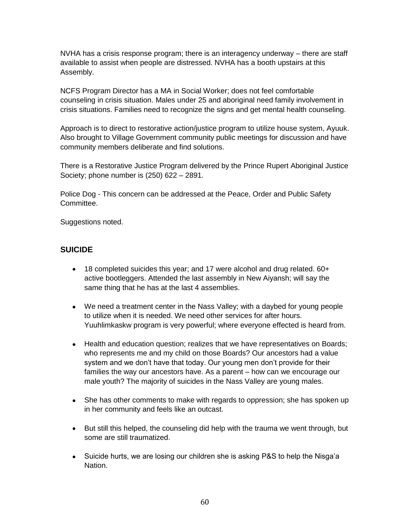NVHA has a crisis response program; there is an interagency underway – there are staff available to assist when people are distressed. NVHA has a booth upstairs at this Assembly.

NCFS Program Director has a MA in Social Worker; does not feel comfortable counseling in crisis situation. Males under 25 and aboriginal need family involvement in crisis situations. Families need to recognize the signs and get mental health counseling.

Approach is to direct to restorative action/justice program to utilize house system, Ayuuk. Also brought to Village Government community public meetings for discussion and have community members deliberate and find solutions.

There is a Restorative Justice Program delivered by the Prince Rupert Aboriginal Justice Society; phone number is (250) 622 – 2891.

Police Dog - This concern can be addressed at the Peace, Order and Public Safety Committee.

Suggestions noted.

# **SUICIDE**

- 18 completed suicides this year; and 17 were alcohol and drug related. 60+ active bootleggers. Attended the last assembly in New Aiyansh; will say the same thing that he has at the last 4 assemblies.
- We need a treatment center in the Nass Valley; with a daybed for young people to utilize when it is needed. We need other services for after hours. Yuuhlimkaskw program is very powerful; where everyone effected is heard from.
- Health and education question; realizes that we have representatives on Boards; who represents me and my child on those Boards? Our ancestors had a value system and we don't have that today. Our young men don't provide for their families the way our ancestors have. As a parent – how can we encourage our male youth? The majority of suicides in the Nass Valley are young males.
- She has other comments to make with regards to oppression; she has spoken up in her community and feels like an outcast.
- But still this helped, the counseling did help with the trauma we went through, but some are still traumatized.
- Suicide hurts, we are losing our children she is asking P&S to help the Nisga'a Nation.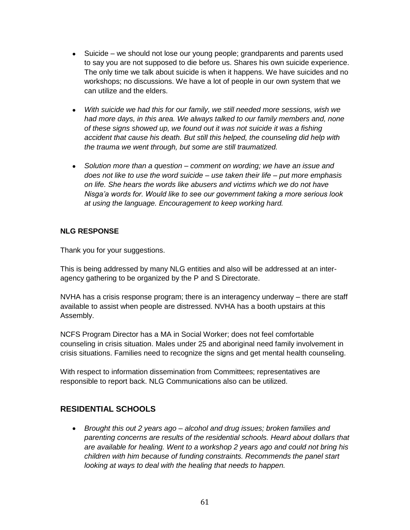- Suicide we should not lose our young people; grandparents and parents used to say you are not supposed to die before us. Shares his own suicide experience. The only time we talk about suicide is when it happens. We have suicides and no workshops; no discussions. We have a lot of people in our own system that we can utilize and the elders.
- *With suicide we had this for our family, we still needed more sessions, wish we had more days, in this area. We always talked to our family members and, none of these signs showed up, we found out it was not suicide it was a fishing accident that cause his death. But still this helped, the counseling did help with the trauma we went through, but some are still traumatized.*
- *Solution more than a question – comment on wording; we have an issue and does not like to use the word suicide – use taken their life – put more emphasis on life. She hears the words like abusers and victims which we do not have Nisga"a words for. Would like to see our government taking a more serious look at using the language. Encouragement to keep working hard.*

Thank you for your suggestions.

This is being addressed by many NLG entities and also will be addressed at an interagency gathering to be organized by the P and S Directorate.

NVHA has a crisis response program; there is an interagency underway – there are staff available to assist when people are distressed. NVHA has a booth upstairs at this Assembly.

NCFS Program Director has a MA in Social Worker; does not feel comfortable counseling in crisis situation. Males under 25 and aboriginal need family involvement in crisis situations. Families need to recognize the signs and get mental health counseling.

With respect to information dissemination from Committees; representatives are responsible to report back. NLG Communications also can be utilized.

# **RESIDENTIAL SCHOOLS**

 *Brought this out 2 years ago – alcohol and drug issues; broken families and parenting concerns are results of the residential schools. Heard about dollars that are available for healing. Went to a workshop 2 years ago and could not bring his children with him because of funding constraints. Recommends the panel start looking at ways to deal with the healing that needs to happen.*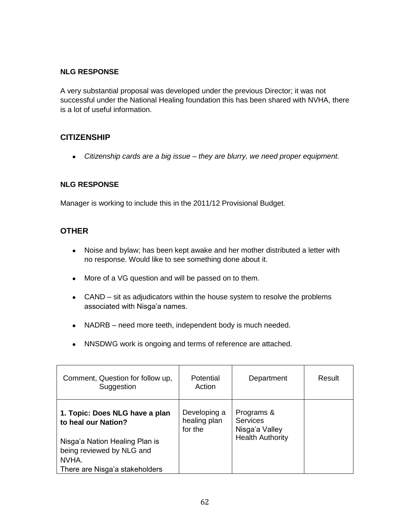A very substantial proposal was developed under the previous Director; it was not successful under the National Healing foundation this has been shared with NVHA, there is a lot of useful information.

### **CITIZENSHIP**

*Citizenship cards are a big issue – they are blurry, we need proper equipment.*

#### **NLG RESPONSE**

Manager is working to include this in the 2011/12 Provisional Budget.

### **OTHER**

- Noise and bylaw; has been kept awake and her mother distributed a letter with no response. Would like to see something done about it.
- More of a VG question and will be passed on to them.
- CAND sit as adjudicators within the house system to resolve the problems associated with Nisga'a names.
- NADRB need more teeth, independent body is much needed.
- NNSDWG work is ongoing and terms of reference are attached.

| Comment, Question for follow up,<br>Suggestion                                                                                | Potential<br>Action                     | Department                                                                 | Result |
|-------------------------------------------------------------------------------------------------------------------------------|-----------------------------------------|----------------------------------------------------------------------------|--------|
| 1. Topic: Does NLG have a plan<br>to heal our Nation?<br>Nisga'a Nation Healing Plan is<br>being reviewed by NLG and<br>NVHA. | Developing a<br>healing plan<br>for the | Programs &<br><b>Services</b><br>Nisga'a Valley<br><b>Health Authority</b> |        |
| There are Nisga'a stakeholders                                                                                                |                                         |                                                                            |        |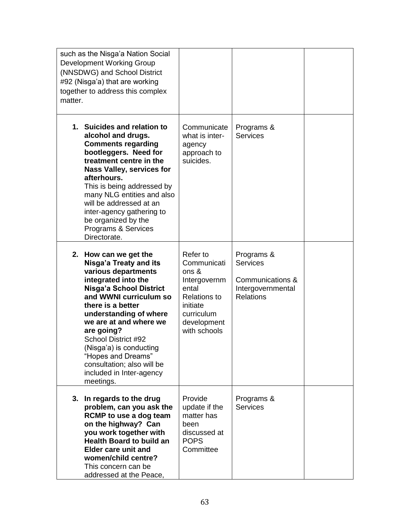| such as the Nisga'a Nation Social<br><b>Development Working Group</b><br>(NNSDWG) and School District<br>#92 (Nisga'a) that are working<br>together to address this complex<br>matter.                                                                                                                                                                                                          |                                                                                                                                           |                                                                                            |  |
|-------------------------------------------------------------------------------------------------------------------------------------------------------------------------------------------------------------------------------------------------------------------------------------------------------------------------------------------------------------------------------------------------|-------------------------------------------------------------------------------------------------------------------------------------------|--------------------------------------------------------------------------------------------|--|
| 1. Suicides and relation to<br>alcohol and drugs.<br><b>Comments regarding</b><br>bootleggers. Need for<br>treatment centre in the<br><b>Nass Valley, services for</b><br>afterhours.<br>This is being addressed by<br>many NLG entities and also<br>will be addressed at an<br>inter-agency gathering to<br>be organized by the<br>Programs & Services<br>Directorate.                         | Communicate<br>what is inter-<br>agency<br>approach to<br>suicides.                                                                       | Programs &<br><b>Services</b>                                                              |  |
| 2. How can we get the<br>Nisga'a Treaty and its<br>various departments<br>integrated into the<br><b>Nisga'a School District</b><br>and WWNI curriculum so<br>there is a better<br>understanding of where<br>we are at and where we<br>are going?<br>School District #92<br>(Nisga'a) is conducting<br>"Hopes and Dreams"<br>consultation; also will be<br>included in Inter-agency<br>meetings. | Refer to<br>Communicati<br>ons &<br>Intergovernm<br>ental<br><b>Relations to</b><br>initiate<br>curriculum<br>development<br>with schools | Programs &<br><b>Services</b><br>Communications &<br>Intergovernmental<br><b>Relations</b> |  |
| 3. In regards to the drug<br>problem, can you ask the<br>RCMP to use a dog team<br>on the highway? Can<br>you work together with<br><b>Health Board to build an</b><br><b>Elder care unit and</b><br>women/child centre?<br>This concern can be<br>addressed at the Peace,                                                                                                                      | Provide<br>update if the<br>matter has<br>been<br>discussed at<br><b>POPS</b><br>Committee                                                | Programs &<br><b>Services</b>                                                              |  |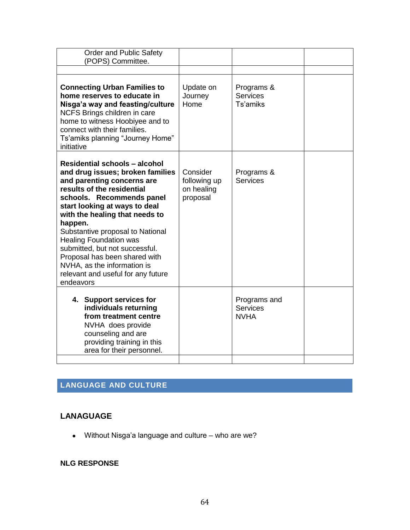| <b>Order and Public Safety</b><br>(POPS) Committee.                                                                                                                                                                                                                                                                                                                                                                                                                       |                                                    |                                                |  |
|---------------------------------------------------------------------------------------------------------------------------------------------------------------------------------------------------------------------------------------------------------------------------------------------------------------------------------------------------------------------------------------------------------------------------------------------------------------------------|----------------------------------------------------|------------------------------------------------|--|
|                                                                                                                                                                                                                                                                                                                                                                                                                                                                           |                                                    |                                                |  |
| <b>Connecting Urban Families to</b><br>home reserves to educate in<br>Nisga'a way and feasting/culture<br>NCFS Brings children in care<br>home to witness Hoobiyee and to<br>connect with their families.<br>Ts'amiks planning "Journey Home"<br>initiative                                                                                                                                                                                                               | Update on<br>Journey<br>Home                       | Programs &<br><b>Services</b><br>Ts'amiks      |  |
| <b>Residential schools - alcohol</b><br>and drug issues; broken families<br>and parenting concerns are<br>results of the residential<br>schools. Recommends panel<br>start looking at ways to deal<br>with the healing that needs to<br>happen.<br>Substantive proposal to National<br><b>Healing Foundation was</b><br>submitted, but not successful.<br>Proposal has been shared with<br>NVHA, as the information is<br>relevant and useful for any future<br>endeavors | Consider<br>following up<br>on healing<br>proposal | Programs &<br><b>Services</b>                  |  |
| 4. Support services for<br>individuals returning<br>from treatment centre<br>NVHA does provide<br>counseling and are<br>providing training in this<br>area for their personnel.                                                                                                                                                                                                                                                                                           |                                                    | Programs and<br><b>Services</b><br><b>NVHA</b> |  |

# **LANGUAGE AND CULTURE**

# **LANAGUAGE**

Without Nisga"a language and culture – who are we?

# **NLG RESPONSE**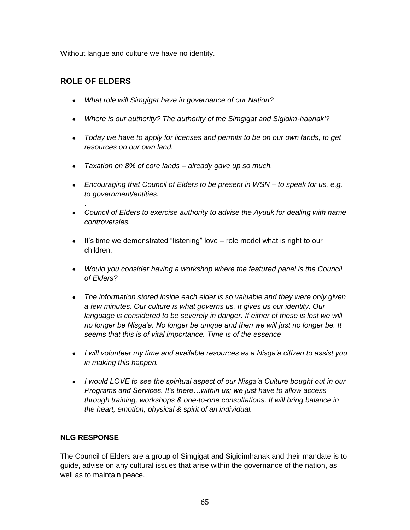Without langue and culture we have no identity.

# **ROLE OF ELDERS**

.

- *What role will Simgigat have in governance of our Nation?*
- *Where is our authority? The authority of the Simgigat and Sigidim-haanak"?*
- *Today we have to apply for licenses and permits to be on our own lands, to get resources on our own land.*
- *Taxation on 8% of core lands – already gave up so much.*
- *Encouraging that Council of Elders to be present in WSN – to speak for us, e.g. to government/entities.*
- *Council of Elders to exercise authority to advise the Ayuuk for dealing with name controversies.*
- $\bullet$  It's time we demonstrated "listening" love  $-$  role model what is right to our children.
- Would you consider having a workshop where the featured panel is the Council *of Elders?*
- *The information stored inside each elder is so valuable and they were only given a few minutes. Our culture is what governs us. It gives us our identity. Our language is considered to be severely in danger. If either of these is lost we will no longer be Nisga"a. No longer be unique and then we will just no longer be. It seems that this is of vital importance. Time is of the essence*
- *I will volunteer my time and available resources as a Nisga"a citizen to assist you in making this happen.*
- *I would LOVE to see the spiritual aspect of our Nisga"a Culture bought out in our Programs and Services. It"s there…within us; we just have to allow access through training, workshops & one-to-one consultations. It will bring balance in the heart, emotion, physical & spirit of an individual.*

# **NLG RESPONSE**

The Council of Elders are a group of Simgigat and Sigidimhanak and their mandate is to guide, advise on any cultural issues that arise within the governance of the nation, as well as to maintain peace.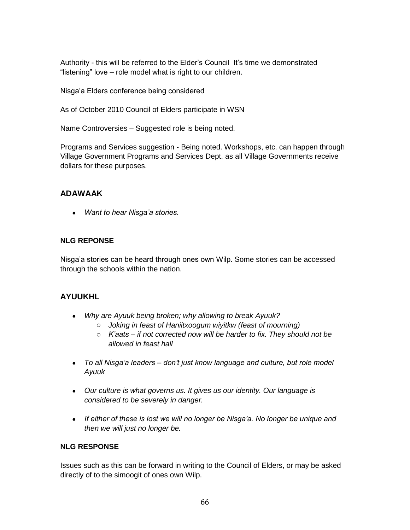Authority - this will be referred to the Elder's Council It's time we demonstrated "listening" love – role model what is right to our children.

Nisga"a Elders conference being considered

As of October 2010 Council of Elders participate in WSN

Name Controversies – Suggested role is being noted.

Programs and Services suggestion - Being noted. Workshops, etc. can happen through Village Government Programs and Services Dept. as all Village Governments receive dollars for these purposes.

# **ADAWAAK**

*Want to hear Nisga"a stories.*

### **NLG REPONSE**

Nisga"a stories can be heard through ones own Wilp. Some stories can be accessed through the schools within the nation.

# **AYUUKHL**

- *Why are Ayuuk being broken; why allowing to break Ayuuk?*
	- o *Joking in feast of Haniitxoogum wiyitkw (feast of mourning)*
	- o *K"aats – if not corrected now will be harder to fix. They should not be allowed in feast hall*
- *To all Nisga"a leaders – don"t just know language and culture, but role model Ayuuk*
- *Our culture is what governs us. It gives us our identity. Our language is considered to be severely in danger.*
- *If either of these is lost we will no longer be Nisga"a. No longer be unique and then we will just no longer be.*

#### **NLG RESPONSE**

Issues such as this can be forward in writing to the Council of Elders, or may be asked directly of to the simoogit of ones own Wilp.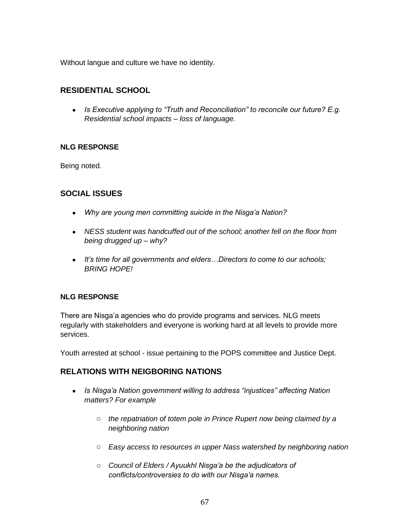Without langue and culture we have no identity.

# **RESIDENTIAL SCHOOL**

 *Is Executive applying to "Truth and Reconciliation" to reconcile our future? E.g. Residential school impacts – loss of language.*

### **NLG RESPONSE**

Being noted.

### **SOCIAL ISSUES**

- *Why are young men committing suicide in the Nisga"a Nation?*
- *NESS student was handcuffed out of the school; another fell on the floor from being drugged up – why?*
- *It"s time for all governments and elders…Directors to come to our schools; BRING HOPE!*

#### **NLG RESPONSE**

There are Nisga"a agencies who do provide programs and services. NLG meets regularly with stakeholders and everyone is working hard at all levels to provide more services.

Youth arrested at school - issue pertaining to the POPS committee and Justice Dept.

### **RELATIONS WITH NEIGBORING NATIONS**

- *Is Nisga"a Nation government willing to address "injustices" affecting Nation matters? For example* 
	- o *the repatriation of totem pole in Prince Rupert now being claimed by a neighboring nation*
	- o *Easy access to resources in upper Nass watershed by neighboring nation*
	- o *Council of Elders / Ayuukhl Nisga"a be the adjudicators of conflicts/controversies to do with our Nisga"a names.*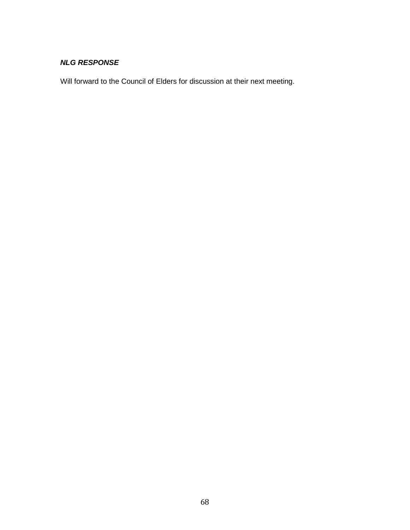Will forward to the Council of Elders for discussion at their next meeting.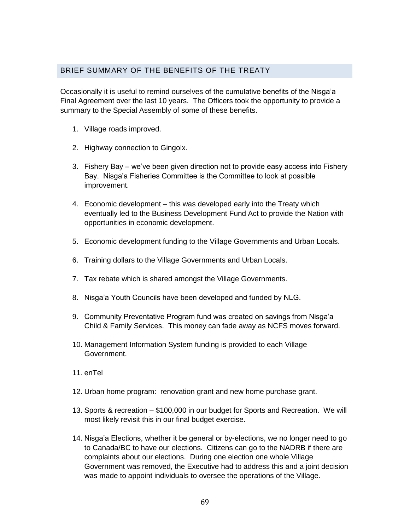### BRIEF SUMMARY OF THE BENEFITS OF THE TREATY

Occasionally it is useful to remind ourselves of the cumulative benefits of the Nisga"a Final Agreement over the last 10 years. The Officers took the opportunity to provide a summary to the Special Assembly of some of these benefits.

- 1. Village roads improved.
- 2. Highway connection to Gingolx.
- 3. Fishery Bay we"ve been given direction not to provide easy access into Fishery Bay. Nisga'a Fisheries Committee is the Committee to look at possible improvement.
- 4. Economic development this was developed early into the Treaty which eventually led to the Business Development Fund Act to provide the Nation with opportunities in economic development.
- 5. Economic development funding to the Village Governments and Urban Locals.
- 6. Training dollars to the Village Governments and Urban Locals.
- 7. Tax rebate which is shared amongst the Village Governments.
- 8. Nisga'a Youth Councils have been developed and funded by NLG.
- 9. Community Preventative Program fund was created on savings from Nisga'a Child & Family Services. This money can fade away as NCFS moves forward.
- 10. Management Information System funding is provided to each Village Government.
- 11. enTel
- 12. Urban home program: renovation grant and new home purchase grant.
- 13. Sports & recreation \$100,000 in our budget for Sports and Recreation. We will most likely revisit this in our final budget exercise.
- 14. Nisga'a Elections, whether it be general or by-elections, we no longer need to go to Canada/BC to have our elections. Citizens can go to the NADRB if there are complaints about our elections. During one election one whole Village Government was removed, the Executive had to address this and a joint decision was made to appoint individuals to oversee the operations of the Village.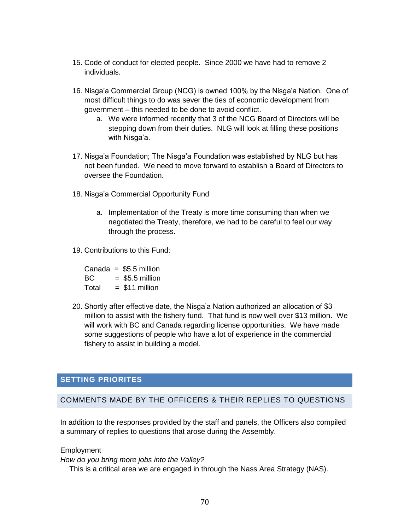- 15. Code of conduct for elected people. Since 2000 we have had to remove 2 individuals.
- 16. Nisga'a Commercial Group (NCG) is owned 100% by the Nisga'a Nation. One of most difficult things to do was sever the ties of economic development from government – this needed to be done to avoid conflict.
	- a. We were informed recently that 3 of the NCG Board of Directors will be stepping down from their duties. NLG will look at filling these positions with Nisga'a.
- 17. Nisga'a Foundation; The Nisga'a Foundation was established by NLG but has not been funded. We need to move forward to establish a Board of Directors to oversee the Foundation.
- 18. Nisga"a Commercial Opportunity Fund
	- a. Implementation of the Treaty is more time consuming than when we negotiated the Treaty, therefore, we had to be careful to feel our way through the process.
- 19. Contributions to this Fund:

Canada =  $$5.5$  million  $BC = $5.5$  million  $Total = $11$  million

20. Shortly after effective date, the Nisga"a Nation authorized an allocation of \$3 million to assist with the fishery fund. That fund is now well over \$13 million. We will work with BC and Canada regarding license opportunities. We have made some suggestions of people who have a lot of experience in the commercial fishery to assist in building a model.

### **SETTING PRIORITES**

#### COMMENTS MADE BY THE OFFICERS & THEIR REPLIES TO QUESTIONS

In addition to the responses provided by the staff and panels, the Officers also compiled a summary of replies to questions that arose during the Assembly.

Employment

*How do you bring more jobs into the Valley?*

This is a critical area we are engaged in through the Nass Area Strategy (NAS).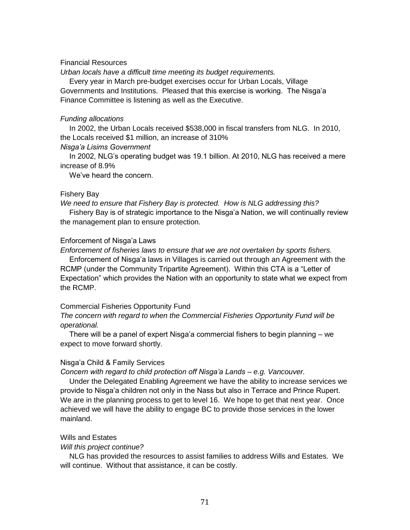#### Financial Resources

*Urban locals have a difficult time meeting its budget requirements.*

Every year in March pre-budget exercises occur for Urban Locals, Village Governments and Institutions. Pleased that this exercise is working. The Nisga"a Finance Committee is listening as well as the Executive.

#### *Funding allocations*

In 2002, the Urban Locals received \$538,000 in fiscal transfers from NLG. In 2010, the Locals received \$1 million, an increase of 310%

#### *Nisga"a Lisims Government*

In 2002, NLG"s operating budget was 19.1 billion. At 2010, NLG has received a mere increase of 8.9%

We've heard the concern.

#### Fishery Bay

*We need to ensure that Fishery Bay is protected. How is NLG addressing this?*

Fishery Bay is of strategic importance to the Nisga"a Nation, we will continually review the management plan to ensure protection.

#### Enforcement of Nisga"a Laws

*Enforcement of fisheries laws to ensure that we are not overtaken by sports fishers.*

Enforcement of Nisga"a laws in Villages is carried out through an Agreement with the RCMP (under the Community Tripartite Agreement). Within this CTA is a "Letter of Expectation" which provides the Nation with an opportunity to state what we expect from the RCMP.

#### Commercial Fisheries Opportunity Fund

*The concern with regard to when the Commercial Fisheries Opportunity Fund will be operational.*

There will be a panel of expert Nisga"a commercial fishers to begin planning – we expect to move forward shortly.

#### Nisga"a Child & Family Services

*Concern with regard to child protection off Nisga"a Lands – e.g. Vancouver.*

Under the Delegated Enabling Agreement we have the ability to increase services we provide to Nisga"a children not only in the Nass but also in Terrace and Prince Rupert. We are in the planning process to get to level 16. We hope to get that next year. Once achieved we will have the ability to engage BC to provide those services in the lower mainland.

#### Wills and Estates

#### *Will this project continue?*

NLG has provided the resources to assist families to address Wills and Estates. We will continue. Without that assistance, it can be costly.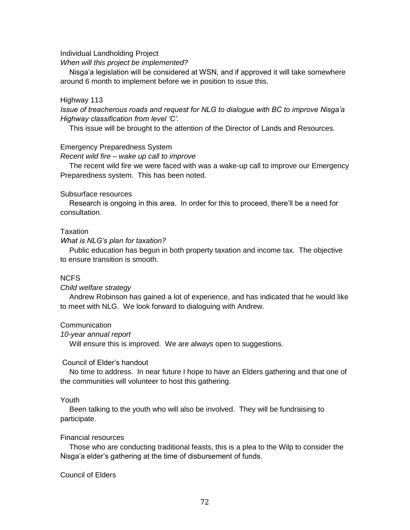Individual Landholding Project

*When will this project be implemented?*

Nisga"a legislation will be considered at WSN, and if approved it will take somewhere around 6 month to implement before we in position to issue this.

#### Highway 113

*Issue of treacherous roads and request for NLG to dialogue with BC to improve Nisga"a Highway classification from level "C".*

This issue will be brought to the attention of the Director of Lands and Resources.

#### Emergency Preparedness System

*Recent wild fire – wake up call to improve* 

The recent wild fire we were faced with was a wake-up call to improve our Emergency Preparedness system. This has been noted.

#### Subsurface resources

Research is ongoing in this area. In order for this to proceed, there"ll be a need for consultation.

#### **Taxation**

*What is NLG"s plan for taxation?*

Public education has begun in both property taxation and income tax. The objective to ensure transition is smooth.

#### NCFS

#### *Child welfare strategy*

Andrew Robinson has gained a lot of experience, and has indicated that he would like to meet with NLG. We look forward to dialoguing with Andrew.

#### **Communication**

#### *10-year annual report*

Will ensure this is improved. We are always open to suggestions.

#### Council of Elder"s handout

No time to address. In near future I hope to have an Elders gathering and that one of the communities will volunteer to host this gathering.

#### Youth

Been talking to the youth who will also be involved. They will be fundraising to participate.

#### Financial resources

Those who are conducting traditional feasts, this is a plea to the Wilp to consider the Nisga"a elder"s gathering at the time of disbursement of funds.

#### Council of Elders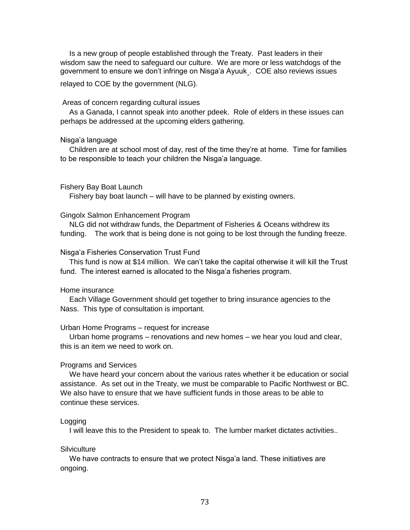Is a new group of people established through the Treaty. Past leaders in their wisdom saw the need to safeguard our culture. We are more or less watchdogs of the government to ensure we don't infringe on Nisga'a Ayuuk<sub>-</sub>. COE also reviews issues relayed to COE by the government (NLG).

# Areas of concern regarding cultural issues

As a Ganada, I cannot speak into another pdeek. Role of elders in these issues can perhaps be addressed at the upcoming elders gathering.

#### Nisga"a language

Children are at school most of day, rest of the time they"re at home. Time for families to be responsible to teach your children the Nisga'a language.

#### Fishery Bay Boat Launch

Fishery bay boat launch – will have to be planned by existing owners.

#### Gingolx Salmon Enhancement Program

NLG did not withdraw funds, the Department of Fisheries & Oceans withdrew its funding. The work that is being done is not going to be lost through the funding freeze.

#### Nisga"a Fisheries Conservation Trust Fund

This fund is now at \$14 million. We can"t take the capital otherwise it will kill the Trust fund. The interest earned is allocated to the Nisga'a fisheries program.

#### Home insurance

Each Village Government should get together to bring insurance agencies to the Nass. This type of consultation is important.

### Urban Home Programs – request for increase

Urban home programs – renovations and new homes – we hear you loud and clear, this is an item we need to work on.

#### Programs and Services

We have heard your concern about the various rates whether it be education or social assistance. As set out in the Treaty, we must be comparable to Pacific Northwest or BC. We also have to ensure that we have sufficient funds in those areas to be able to continue these services.

#### **Logging**

I will leave this to the President to speak to. The lumber market dictates activities..

# **Silviculture**

We have contracts to ensure that we protect Nisga'a land. These initiatives are ongoing.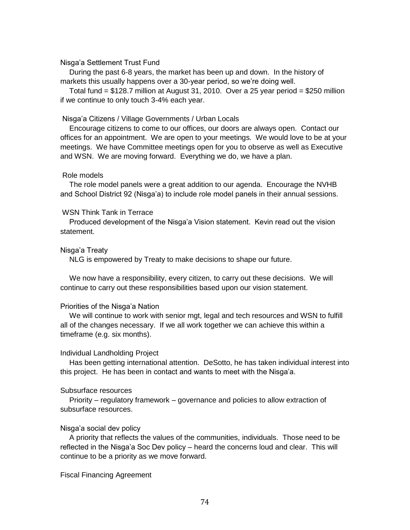### Nisga"a Settlement Trust Fund

During the past 6-8 years, the market has been up and down. In the history of markets this usually happens over a 30-year period, so we"re doing well.

Total fund = \$128.7 million at August 31, 2010. Over a 25 year period = \$250 million if we continue to only touch 3-4% each year.

### Nisga"a Citizens / Village Governments / Urban Locals

Encourage citizens to come to our offices, our doors are always open. Contact our offices for an appointment. We are open to your meetings. We would love to be at your meetings. We have Committee meetings open for you to observe as well as Executive and WSN. We are moving forward. Everything we do, we have a plan.

### Role models

The role model panels were a great addition to our agenda. Encourage the NVHB and School District 92 (Nisga"a) to include role model panels in their annual sessions.

### WSN Think Tank in Terrace

Produced development of the Nisga"a Vision statement. Kevin read out the vision statement.

# Nisga"a Treaty

NLG is empowered by Treaty to make decisions to shape our future.

We now have a responsibility, every citizen, to carry out these decisions. We will continue to carry out these responsibilities based upon our vision statement.

#### Priorities of the Nisga'a Nation

We will continue to work with senior mgt, legal and tech resources and WSN to fulfill all of the changes necessary. If we all work together we can achieve this within a timeframe (e.g. six months).

#### Individual Landholding Project

Has been getting international attention. DeSotto, he has taken individual interest into this project. He has been in contact and wants to meet with the Nisga"a.

# Subsurface resources

Priority – regulatory framework – governance and policies to allow extraction of subsurface resources.

# Nisga"a social dev policy

A priority that reflects the values of the communities, individuals. Those need to be reflected in the Nisga"a Soc Dev policy – heard the concerns loud and clear. This will continue to be a priority as we move forward.

#### Fiscal Financing Agreement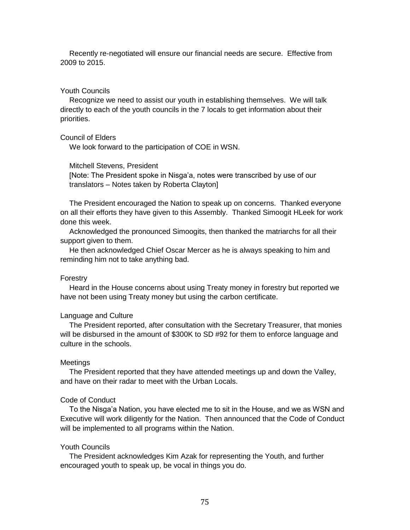Recently re-negotiated will ensure our financial needs are secure. Effective from 2009 to 2015.

# Youth Councils

Recognize we need to assist our youth in establishing themselves. We will talk directly to each of the youth councils in the 7 locals to get information about their priorities.

# Council of Elders

We look forward to the participation of COE in WSN.

#### Mitchell Stevens, President

[Note: The President spoke in Nisga"a, notes were transcribed by use of our translators – Notes taken by Roberta Clayton]

The President encouraged the Nation to speak up on concerns. Thanked everyone on all their efforts they have given to this Assembly. Thanked Simoogit HLeek for work done this week.

Acknowledged the pronounced Simoogits, then thanked the matriarchs for all their support given to them.

He then acknowledged Chief Oscar Mercer as he is always speaking to him and reminding him not to take anything bad.

#### Forestry

Heard in the House concerns about using Treaty money in forestry but reported we have not been using Treaty money but using the carbon certificate.

#### Language and Culture

The President reported, after consultation with the Secretary Treasurer, that monies will be disbursed in the amount of \$300K to SD #92 for them to enforce language and culture in the schools.

#### **Meetings**

The President reported that they have attended meetings up and down the Valley, and have on their radar to meet with the Urban Locals.

### Code of Conduct

To the Nisga"a Nation, you have elected me to sit in the House, and we as WSN and Executive will work diligently for the Nation. Then announced that the Code of Conduct will be implemented to all programs within the Nation.

#### Youth Councils

The President acknowledges Kim Azak for representing the Youth, and further encouraged youth to speak up, be vocal in things you do.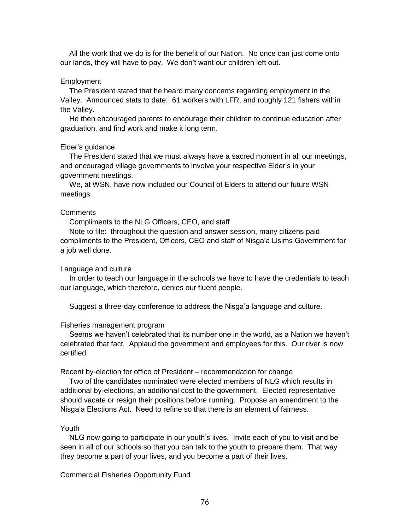All the work that we do is for the benefit of our Nation. No once can just come onto our lands, they will have to pay. We don"t want our children left out.

# **Employment**

The President stated that he heard many concerns regarding employment in the Valley. Announced stats to date: 61 workers with LFR, and roughly 121 fishers within the Valley.

He then encouraged parents to encourage their children to continue education after graduation, and find work and make it long term.

### Elder"s guidance

The President stated that we must always have a sacred moment in all our meetings, and encouraged village governments to involve your respective Elder"s in your government meetings.

We, at WSN, have now included our Council of Elders to attend our future WSN meetings.

#### **Comments**

Compliments to the NLG Officers, CEO, and staff

Note to file: throughout the question and answer session, many citizens paid compliments to the President, Officers, CEO and staff of Nisga"a Lisims Government for a job well done.

# Language and culture

In order to teach our language in the schools we have to have the credentials to teach our language, which therefore, denies our fluent people.

Suggest a three-day conference to address the Nisga"a language and culture.

#### Fisheries management program

Seems we haven"t celebrated that its number one in the world, as a Nation we haven"t celebrated that fact. Applaud the government and employees for this. Our river is now certified.

Recent by-election for office of President – recommendation for change

Two of the candidates nominated were elected members of NLG which results in additional by-elections, an additional cost to the government. Elected representative should vacate or resign their positions before running. Propose an amendment to the Nisga"a Elections Act. Need to refine so that there is an element of fairness.

### Youth

NLG now going to participate in our youth"s lives. Invite each of you to visit and be seen in all of our schools so that you can talk to the youth to prepare them. That way they become a part of your lives, and you become a part of their lives.

Commercial Fisheries Opportunity Fund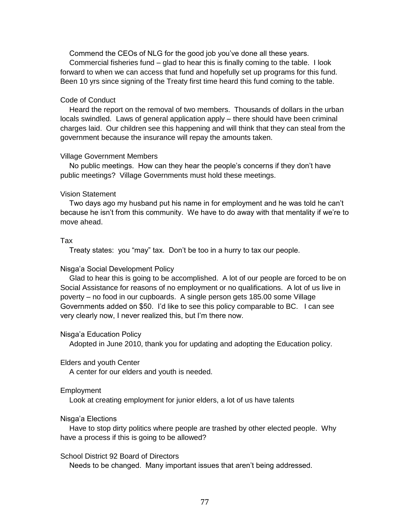Commend the CEOs of NLG for the good job you"ve done all these years.

Commercial fisheries fund – glad to hear this is finally coming to the table. I look forward to when we can access that fund and hopefully set up programs for this fund. Been 10 yrs since signing of the Treaty first time heard this fund coming to the table.

# Code of Conduct

Heard the report on the removal of two members. Thousands of dollars in the urban locals swindled. Laws of general application apply – there should have been criminal charges laid. Our children see this happening and will think that they can steal from the government because the insurance will repay the amounts taken.

# Village Government Members

No public meetings. How can they hear the people"s concerns if they don"t have public meetings? Village Governments must hold these meetings.

# Vision Statement

Two days ago my husband put his name in for employment and he was told he can"t because he isn"t from this community. We have to do away with that mentality if we"re to move ahead.

# Tax

Treaty states: you "may" tax. Don"t be too in a hurry to tax our people.

# Nisga"a Social Development Policy

Glad to hear this is going to be accomplished. A lot of our people are forced to be on Social Assistance for reasons of no employment or no qualifications. A lot of us live in poverty – no food in our cupboards. A single person gets 185.00 some Village Governments added on \$50. I"d like to see this policy comparable to BC. I can see very clearly now, I never realized this, but I"m there now.

# Nisga"a Education Policy

Adopted in June 2010, thank you for updating and adopting the Education policy.

# Elders and youth Center

A center for our elders and youth is needed.

# **Employment**

Look at creating employment for junior elders, a lot of us have talents

# Nisga"a Elections

Have to stop dirty politics where people are trashed by other elected people. Why have a process if this is going to be allowed?

# School District 92 Board of Directors

Needs to be changed. Many important issues that aren"t being addressed.